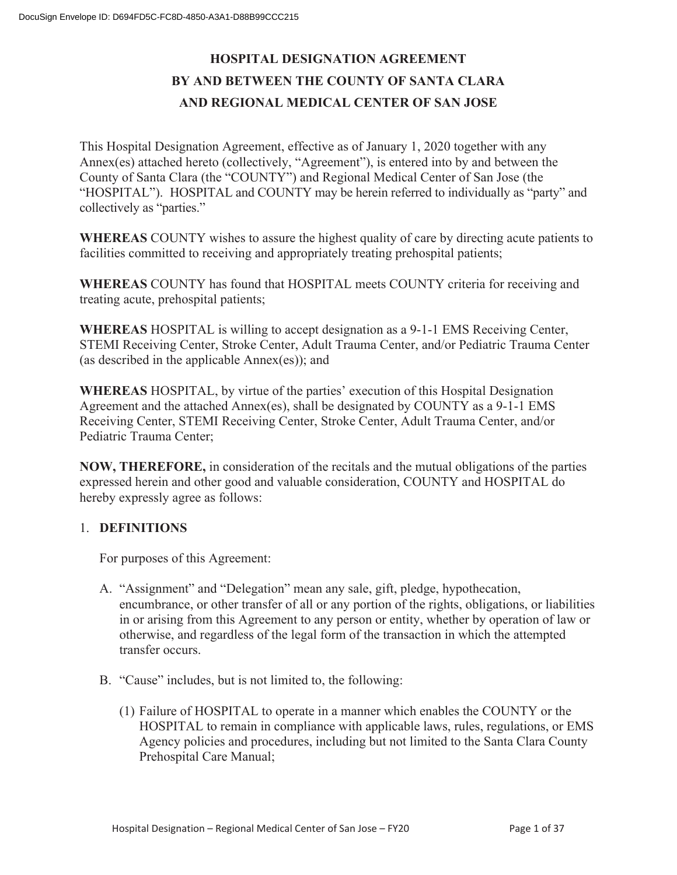# **HOSPITAL DESIGNATION AGREEMENT BY AND BETWEEN THE COUNTY OF SANTA CLARA AND REGIONAL MEDICAL CENTER OF SAN JOSE**

This Hospital Designation Agreement, effective as of January 1, 2020 together with any Annex(es) attached hereto (collectively, "Agreement"), is entered into by and between the County of Santa Clara (the "COUNTY") and Regional Medical Center of San Jose (the "HOSPITAL"). HOSPITAL and COUNTY may be herein referred to individually as "party" and collectively as "parties."

**WHEREAS** COUNTY wishes to assure the highest quality of care by directing acute patients to facilities committed to receiving and appropriately treating prehospital patients;

**WHEREAS** COUNTY has found that HOSPITAL meets COUNTY criteria for receiving and treating acute, prehospital patients;

**WHEREAS** HOSPITAL is willing to accept designation as a 9-1-1 EMS Receiving Center, STEMI Receiving Center, Stroke Center, Adult Trauma Center, and/or Pediatric Trauma Center (as described in the applicable Annex(es)); and

**WHEREAS** HOSPITAL, by virtue of the parties' execution of this Hospital Designation Agreement and the attached Annex(es), shall be designated by COUNTY as a 9-1-1 EMS Receiving Center, STEMI Receiving Center, Stroke Center, Adult Trauma Center, and/or Pediatric Trauma Center;

**NOW, THEREFORE,** in consideration of the recitals and the mutual obligations of the parties expressed herein and other good and valuable consideration, COUNTY and HOSPITAL do hereby expressly agree as follows:

#### 1. **DEFINITIONS**

For purposes of this Agreement:

- A. "Assignment" and "Delegation" mean any sale, gift, pledge, hypothecation, encumbrance, or other transfer of all or any portion of the rights, obligations, or liabilities in or arising from this Agreement to any person or entity, whether by operation of law or otherwise, and regardless of the legal form of the transaction in which the attempted transfer occurs.
- B. "Cause" includes, but is not limited to, the following:
	- (1) Failure of HOSPITAL to operate in a manner which enables the COUNTY or the HOSPITAL to remain in compliance with applicable laws, rules, regulations, or EMS Agency policies and procedures, including but not limited to the Santa Clara County Prehospital Care Manual;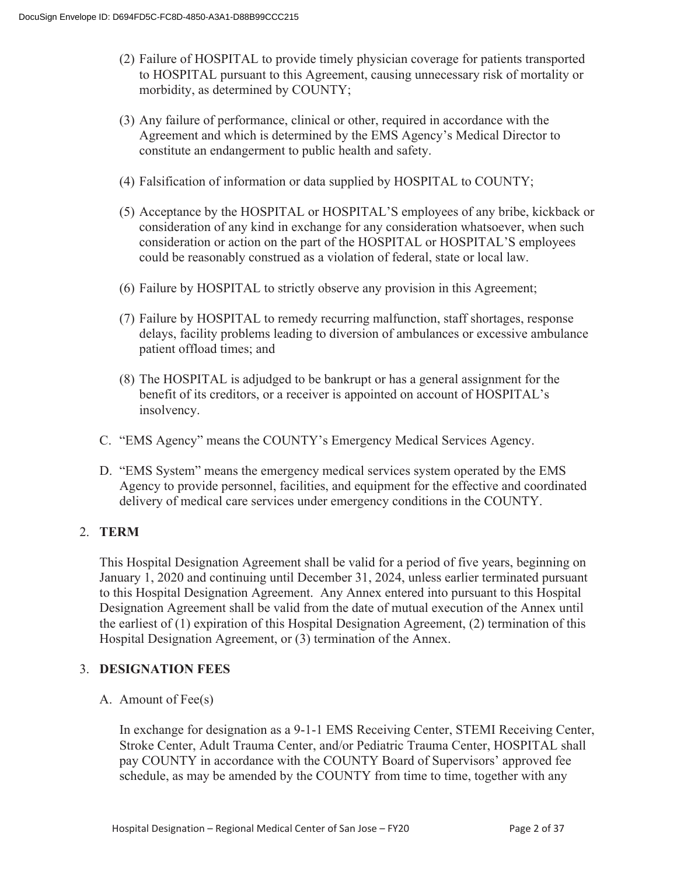- (2) Failure of HOSPITAL to provide timely physician coverage for patients transported to HOSPITAL pursuant to this Agreement, causing unnecessary risk of mortality or morbidity, as determined by COUNTY;
- (3) Any failure of performance, clinical or other, required in accordance with the Agreement and which is determined by the EMS Agency's Medical Director to constitute an endangerment to public health and safety.
- (4) Falsification of information or data supplied by HOSPITAL to COUNTY;
- (5) Acceptance by the HOSPITAL or HOSPITAL'S employees of any bribe, kickback or consideration of any kind in exchange for any consideration whatsoever, when such consideration or action on the part of the HOSPITAL or HOSPITAL'S employees could be reasonably construed as a violation of federal, state or local law.
- (6) Failure by HOSPITAL to strictly observe any provision in this Agreement;
- (7) Failure by HOSPITAL to remedy recurring malfunction, staff shortages, response delays, facility problems leading to diversion of ambulances or excessive ambulance patient offload times; and
- (8) The HOSPITAL is adjudged to be bankrupt or has a general assignment for the benefit of its creditors, or a receiver is appointed on account of HOSPITAL's insolvency.
- C. "EMS Agency" means the COUNTY's Emergency Medical Services Agency.
- D. "EMS System" means the emergency medical services system operated by the EMS Agency to provide personnel, facilities, and equipment for the effective and coordinated delivery of medical care services under emergency conditions in the COUNTY.

#### 2. **TERM**

This Hospital Designation Agreement shall be valid for a period of five years, beginning on January 1, 2020 and continuing until December 31, 2024, unless earlier terminated pursuant to this Hospital Designation Agreement. Any Annex entered into pursuant to this Hospital Designation Agreement shall be valid from the date of mutual execution of the Annex until the earliest of (1) expiration of this Hospital Designation Agreement, (2) termination of this Hospital Designation Agreement, or (3) termination of the Annex.

#### 3. **DESIGNATION FEES**

A. Amount of Fee(s)

In exchange for designation as a 9-1-1 EMS Receiving Center, STEMI Receiving Center, Stroke Center, Adult Trauma Center, and/or Pediatric Trauma Center, HOSPITAL shall pay COUNTY in accordance with the COUNTY Board of Supervisors' approved fee schedule, as may be amended by the COUNTY from time to time, together with any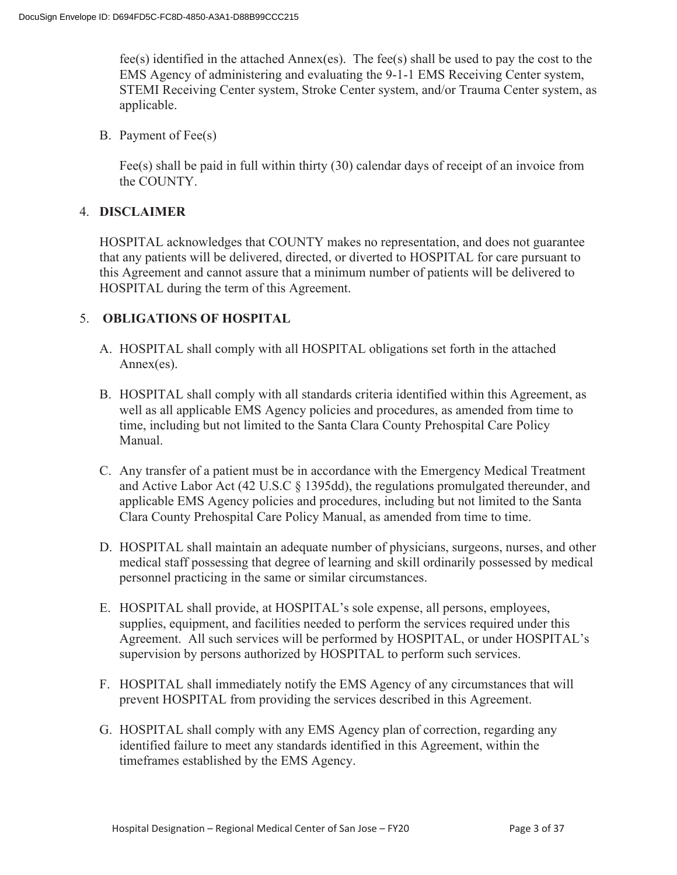fee(s) identified in the attached Annex(es). The fee(s) shall be used to pay the cost to the EMS Agency of administering and evaluating the 9-1-1 EMS Receiving Center system, STEMI Receiving Center system, Stroke Center system, and/or Trauma Center system, as applicable.

B. Payment of Fee(s)

Fee(s) shall be paid in full within thirty (30) calendar days of receipt of an invoice from the COUNTY.

#### 4. **DISCLAIMER**

HOSPITAL acknowledges that COUNTY makes no representation, and does not guarantee that any patients will be delivered, directed, or diverted to HOSPITAL for care pursuant to this Agreement and cannot assure that a minimum number of patients will be delivered to HOSPITAL during the term of this Agreement.

#### 5. **OBLIGATIONS OF HOSPITAL**

- A. HOSPITAL shall comply with all HOSPITAL obligations set forth in the attached Annex(es).
- B. HOSPITAL shall comply with all standards criteria identified within this Agreement, as well as all applicable EMS Agency policies and procedures, as amended from time to time, including but not limited to the Santa Clara County Prehospital Care Policy Manual.
- C. Any transfer of a patient must be in accordance with the Emergency Medical Treatment and Active Labor Act (42 U.S.C § 1395dd), the regulations promulgated thereunder, and applicable EMS Agency policies and procedures, including but not limited to the Santa Clara County Prehospital Care Policy Manual, as amended from time to time.
- D. HOSPITAL shall maintain an adequate number of physicians, surgeons, nurses, and other medical staff possessing that degree of learning and skill ordinarily possessed by medical personnel practicing in the same or similar circumstances.
- E. HOSPITAL shall provide, at HOSPITAL's sole expense, all persons, employees, supplies, equipment, and facilities needed to perform the services required under this Agreement. All such services will be performed by HOSPITAL, or under HOSPITAL's supervision by persons authorized by HOSPITAL to perform such services.
- F. HOSPITAL shall immediately notify the EMS Agency of any circumstances that will prevent HOSPITAL from providing the services described in this Agreement.
- G. HOSPITAL shall comply with any EMS Agency plan of correction, regarding any identified failure to meet any standards identified in this Agreement, within the timeframes established by the EMS Agency.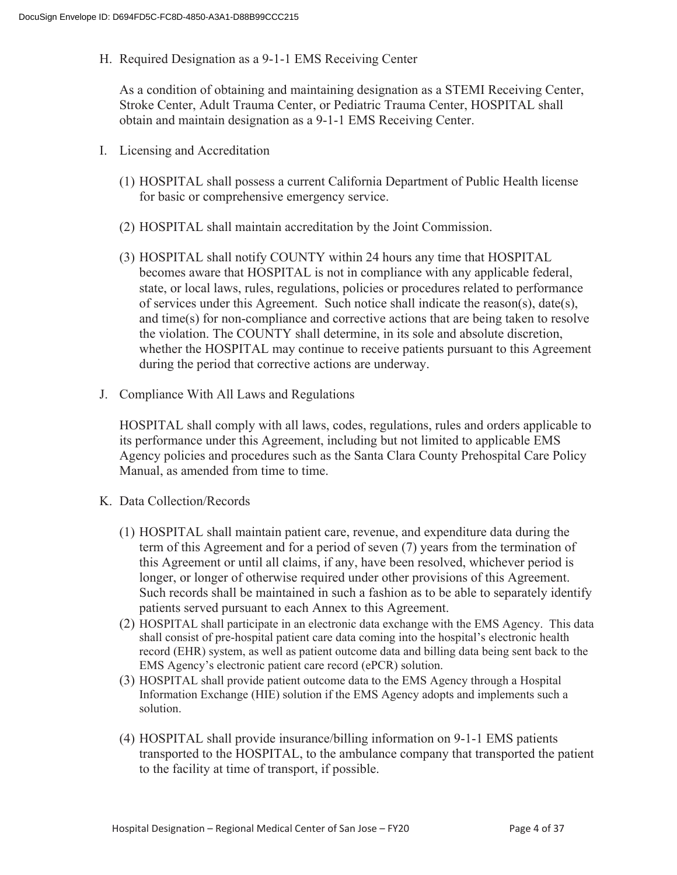H. Required Designation as a 9-1-1 EMS Receiving Center

As a condition of obtaining and maintaining designation as a STEMI Receiving Center, Stroke Center, Adult Trauma Center, or Pediatric Trauma Center, HOSPITAL shall obtain and maintain designation as a 9-1-1 EMS Receiving Center.

- I. Licensing and Accreditation
	- (1) HOSPITAL shall possess a current California Department of Public Health license for basic or comprehensive emergency service.
	- (2) HOSPITAL shall maintain accreditation by the Joint Commission.
	- (3) HOSPITAL shall notify COUNTY within 24 hours any time that HOSPITAL becomes aware that HOSPITAL is not in compliance with any applicable federal, state, or local laws, rules, regulations, policies or procedures related to performance of services under this Agreement. Such notice shall indicate the reason(s), date(s), and time(s) for non-compliance and corrective actions that are being taken to resolve the violation. The COUNTY shall determine, in its sole and absolute discretion, whether the HOSPITAL may continue to receive patients pursuant to this Agreement during the period that corrective actions are underway.
- J. Compliance With All Laws and Regulations

HOSPITAL shall comply with all laws, codes, regulations, rules and orders applicable to its performance under this Agreement, including but not limited to applicable EMS Agency policies and procedures such as the Santa Clara County Prehospital Care Policy Manual, as amended from time to time.

- K. Data Collection/Records
	- (1) HOSPITAL shall maintain patient care, revenue, and expenditure data during the term of this Agreement and for a period of seven (7) years from the termination of this Agreement or until all claims, if any, have been resolved, whichever period is longer, or longer of otherwise required under other provisions of this Agreement. Such records shall be maintained in such a fashion as to be able to separately identify patients served pursuant to each Annex to this Agreement.
	- (2) HOSPITAL shall participate in an electronic data exchange with the EMS Agency. This data shall consist of pre-hospital patient care data coming into the hospital's electronic health record (EHR) system, as well as patient outcome data and billing data being sent back to the EMS Agency's electronic patient care record (ePCR) solution.
	- (3) HOSPITAL shall provide patient outcome data to the EMS Agency through a Hospital Information Exchange (HIE) solution if the EMS Agency adopts and implements such a solution.
	- (4) HOSPITAL shall provide insurance/billing information on 9-1-1 EMS patients transported to the HOSPITAL, to the ambulance company that transported the patient to the facility at time of transport, if possible.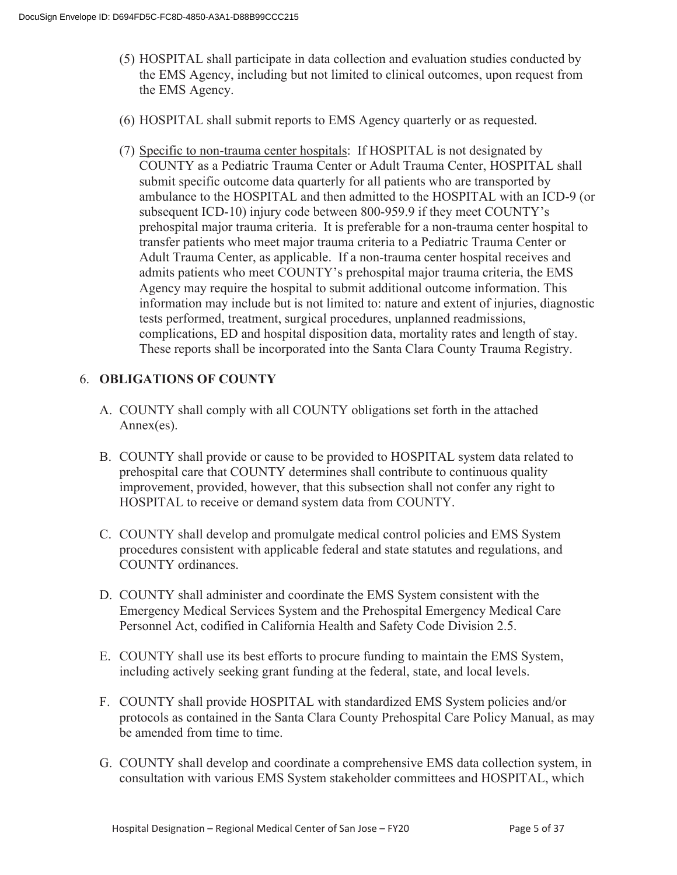- (5) HOSPITAL shall participate in data collection and evaluation studies conducted by the EMS Agency, including but not limited to clinical outcomes, upon request from the EMS Agency.
- (6) HOSPITAL shall submit reports to EMS Agency quarterly or as requested.
- (7) Specific to non-trauma center hospitals: If HOSPITAL is not designated by COUNTY as a Pediatric Trauma Center or Adult Trauma Center, HOSPITAL shall submit specific outcome data quarterly for all patients who are transported by ambulance to the HOSPITAL and then admitted to the HOSPITAL with an ICD-9 (or subsequent ICD-10) injury code between 800-959.9 if they meet COUNTY's prehospital major trauma criteria. It is preferable for a non-trauma center hospital to transfer patients who meet major trauma criteria to a Pediatric Trauma Center or Adult Trauma Center, as applicable. If a non-trauma center hospital receives and admits patients who meet COUNTY's prehospital major trauma criteria, the EMS Agency may require the hospital to submit additional outcome information. This information may include but is not limited to: nature and extent of injuries, diagnostic tests performed, treatment, surgical procedures, unplanned readmissions, complications, ED and hospital disposition data, mortality rates and length of stay. These reports shall be incorporated into the Santa Clara County Trauma Registry.

#### 6. **OBLIGATIONS OF COUNTY**

- A. COUNTY shall comply with all COUNTY obligations set forth in the attached Annex(es).
- B. COUNTY shall provide or cause to be provided to HOSPITAL system data related to prehospital care that COUNTY determines shall contribute to continuous quality improvement, provided, however, that this subsection shall not confer any right to HOSPITAL to receive or demand system data from COUNTY.
- C. COUNTY shall develop and promulgate medical control policies and EMS System procedures consistent with applicable federal and state statutes and regulations, and COUNTY ordinances.
- D. COUNTY shall administer and coordinate the EMS System consistent with the Emergency Medical Services System and the Prehospital Emergency Medical Care Personnel Act, codified in California Health and Safety Code Division 2.5.
- E. COUNTY shall use its best efforts to procure funding to maintain the EMS System, including actively seeking grant funding at the federal, state, and local levels.
- F. COUNTY shall provide HOSPITAL with standardized EMS System policies and/or protocols as contained in the Santa Clara County Prehospital Care Policy Manual, as may be amended from time to time.
- G. COUNTY shall develop and coordinate a comprehensive EMS data collection system, in consultation with various EMS System stakeholder committees and HOSPITAL, which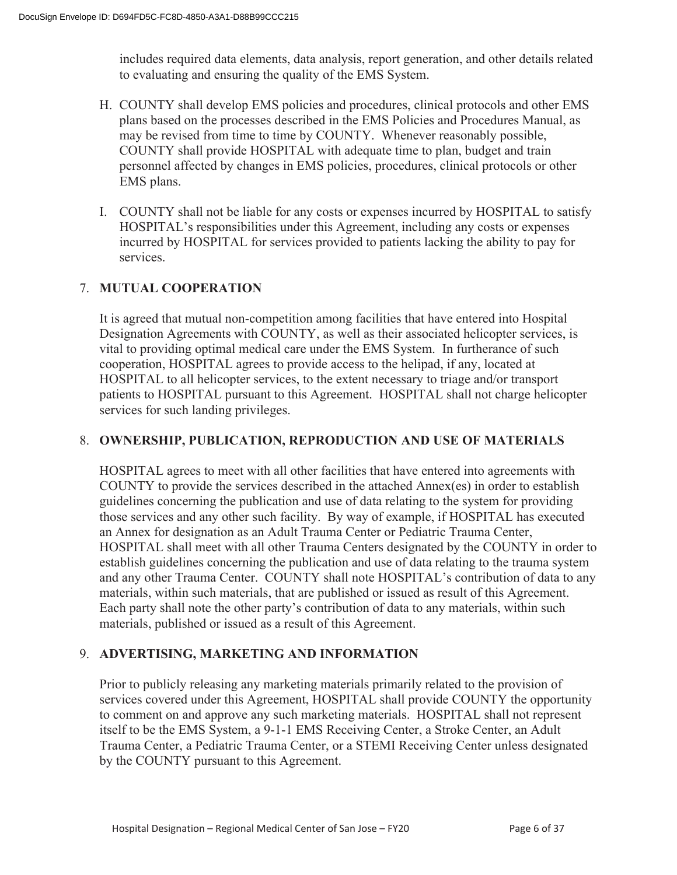includes required data elements, data analysis, report generation, and other details related to evaluating and ensuring the quality of the EMS System.

- H. COUNTY shall develop EMS policies and procedures, clinical protocols and other EMS plans based on the processes described in the EMS Policies and Procedures Manual, as may be revised from time to time by COUNTY. Whenever reasonably possible, COUNTY shall provide HOSPITAL with adequate time to plan, budget and train personnel affected by changes in EMS policies, procedures, clinical protocols or other EMS plans.
- I. COUNTY shall not be liable for any costs or expenses incurred by HOSPITAL to satisfy HOSPITAL's responsibilities under this Agreement, including any costs or expenses incurred by HOSPITAL for services provided to patients lacking the ability to pay for services.

#### 7. **MUTUAL COOPERATION**

It is agreed that mutual non-competition among facilities that have entered into Hospital Designation Agreements with COUNTY, as well as their associated helicopter services, is vital to providing optimal medical care under the EMS System. In furtherance of such cooperation, HOSPITAL agrees to provide access to the helipad, if any, located at HOSPITAL to all helicopter services, to the extent necessary to triage and/or transport patients to HOSPITAL pursuant to this Agreement. HOSPITAL shall not charge helicopter services for such landing privileges.

#### 8. **OWNERSHIP, PUBLICATION, REPRODUCTION AND USE OF MATERIALS**

HOSPITAL agrees to meet with all other facilities that have entered into agreements with COUNTY to provide the services described in the attached Annex(es) in order to establish guidelines concerning the publication and use of data relating to the system for providing those services and any other such facility. By way of example, if HOSPITAL has executed an Annex for designation as an Adult Trauma Center or Pediatric Trauma Center, HOSPITAL shall meet with all other Trauma Centers designated by the COUNTY in order to establish guidelines concerning the publication and use of data relating to the trauma system and any other Trauma Center. COUNTY shall note HOSPITAL's contribution of data to any materials, within such materials, that are published or issued as result of this Agreement. Each party shall note the other party's contribution of data to any materials, within such materials, published or issued as a result of this Agreement.

#### 9. **ADVERTISING, MARKETING AND INFORMATION**

Prior to publicly releasing any marketing materials primarily related to the provision of services covered under this Agreement, HOSPITAL shall provide COUNTY the opportunity to comment on and approve any such marketing materials. HOSPITAL shall not represent itself to be the EMS System, a 9-1-1 EMS Receiving Center, a Stroke Center, an Adult Trauma Center, a Pediatric Trauma Center, or a STEMI Receiving Center unless designated by the COUNTY pursuant to this Agreement.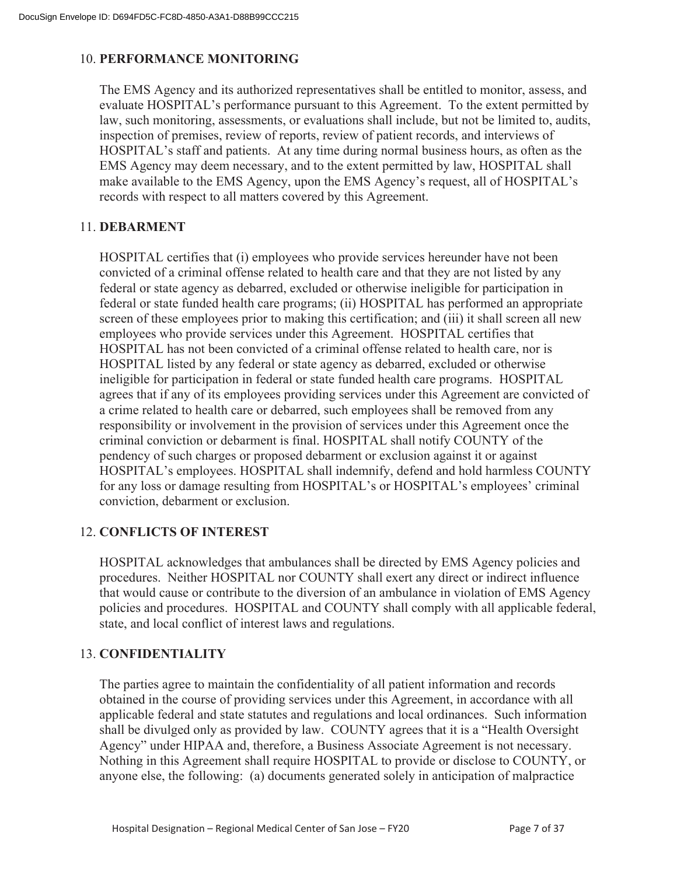#### 10. **PERFORMANCE MONITORING**

The EMS Agency and its authorized representatives shall be entitled to monitor, assess, and evaluate HOSPITAL's performance pursuant to this Agreement. To the extent permitted by law, such monitoring, assessments, or evaluations shall include, but not be limited to, audits, inspection of premises, review of reports, review of patient records, and interviews of HOSPITAL's staff and patients. At any time during normal business hours, as often as the EMS Agency may deem necessary, and to the extent permitted by law, HOSPITAL shall make available to the EMS Agency, upon the EMS Agency's request, all of HOSPITAL's records with respect to all matters covered by this Agreement.

#### 11. **DEBARMENT**

HOSPITAL certifies that (i) employees who provide services hereunder have not been convicted of a criminal offense related to health care and that they are not listed by any federal or state agency as debarred, excluded or otherwise ineligible for participation in federal or state funded health care programs; (ii) HOSPITAL has performed an appropriate screen of these employees prior to making this certification; and (iii) it shall screen all new employees who provide services under this Agreement. HOSPITAL certifies that HOSPITAL has not been convicted of a criminal offense related to health care, nor is HOSPITAL listed by any federal or state agency as debarred, excluded or otherwise ineligible for participation in federal or state funded health care programs. HOSPITAL agrees that if any of its employees providing services under this Agreement are convicted of a crime related to health care or debarred, such employees shall be removed from any responsibility or involvement in the provision of services under this Agreement once the criminal conviction or debarment is final. HOSPITAL shall notify COUNTY of the pendency of such charges or proposed debarment or exclusion against it or against HOSPITAL's employees. HOSPITAL shall indemnify, defend and hold harmless COUNTY for any loss or damage resulting from HOSPITAL's or HOSPITAL's employees' criminal conviction, debarment or exclusion.

#### 12. **CONFLICTS OF INTEREST**

HOSPITAL acknowledges that ambulances shall be directed by EMS Agency policies and procedures. Neither HOSPITAL nor COUNTY shall exert any direct or indirect influence that would cause or contribute to the diversion of an ambulance in violation of EMS Agency policies and procedures. HOSPITAL and COUNTY shall comply with all applicable federal, state, and local conflict of interest laws and regulations.

#### 13. **CONFIDENTIALITY**

The parties agree to maintain the confidentiality of all patient information and records obtained in the course of providing services under this Agreement, in accordance with all applicable federal and state statutes and regulations and local ordinances. Such information shall be divulged only as provided by law. COUNTY agrees that it is a "Health Oversight Agency" under HIPAA and, therefore, a Business Associate Agreement is not necessary. Nothing in this Agreement shall require HOSPITAL to provide or disclose to COUNTY, or anyone else, the following: (a) documents generated solely in anticipation of malpractice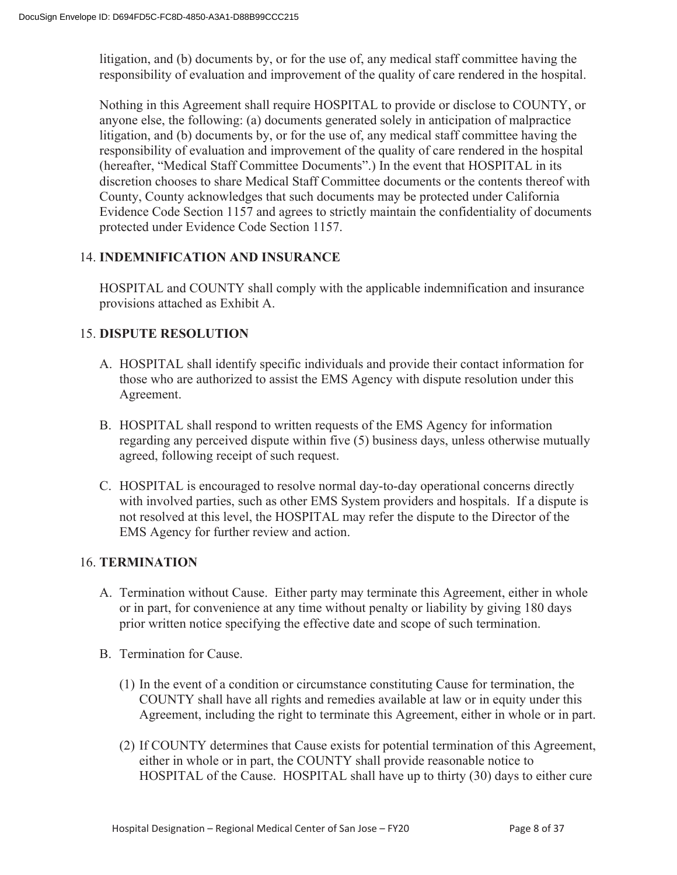litigation, and (b) documents by, or for the use of, any medical staff committee having the responsibility of evaluation and improvement of the quality of care rendered in the hospital.

Nothing in this Agreement shall require HOSPITAL to provide or disclose to COUNTY, or anyone else, the following: (a) documents generated solely in anticipation of malpractice litigation, and (b) documents by, or for the use of, any medical staff committee having the responsibility of evaluation and improvement of the quality of care rendered in the hospital (hereafter, "Medical Staff Committee Documents".) In the event that HOSPITAL in its discretion chooses to share Medical Staff Committee documents or the contents thereof with County, County acknowledges that such documents may be protected under California Evidence Code Section 1157 and agrees to strictly maintain the confidentiality of documents protected under Evidence Code Section 1157.

#### 14. **INDEMNIFICATION AND INSURANCE**

HOSPITAL and COUNTY shall comply with the applicable indemnification and insurance provisions attached as Exhibit A.

#### 15. **DISPUTE RESOLUTION**

- A. HOSPITAL shall identify specific individuals and provide their contact information for those who are authorized to assist the EMS Agency with dispute resolution under this Agreement.
- B. HOSPITAL shall respond to written requests of the EMS Agency for information regarding any perceived dispute within five (5) business days, unless otherwise mutually agreed, following receipt of such request.
- C. HOSPITAL is encouraged to resolve normal day-to-day operational concerns directly with involved parties, such as other EMS System providers and hospitals. If a dispute is not resolved at this level, the HOSPITAL may refer the dispute to the Director of the EMS Agency for further review and action.

#### 16. **TERMINATION**

- A. Termination without Cause. Either party may terminate this Agreement, either in whole or in part, for convenience at any time without penalty or liability by giving 180 days prior written notice specifying the effective date and scope of such termination.
- B. Termination for Cause.
	- (1) In the event of a condition or circumstance constituting Cause for termination, the COUNTY shall have all rights and remedies available at law or in equity under this Agreement, including the right to terminate this Agreement, either in whole or in part.
	- (2) If COUNTY determines that Cause exists for potential termination of this Agreement, either in whole or in part, the COUNTY shall provide reasonable notice to HOSPITAL of the Cause. HOSPITAL shall have up to thirty (30) days to either cure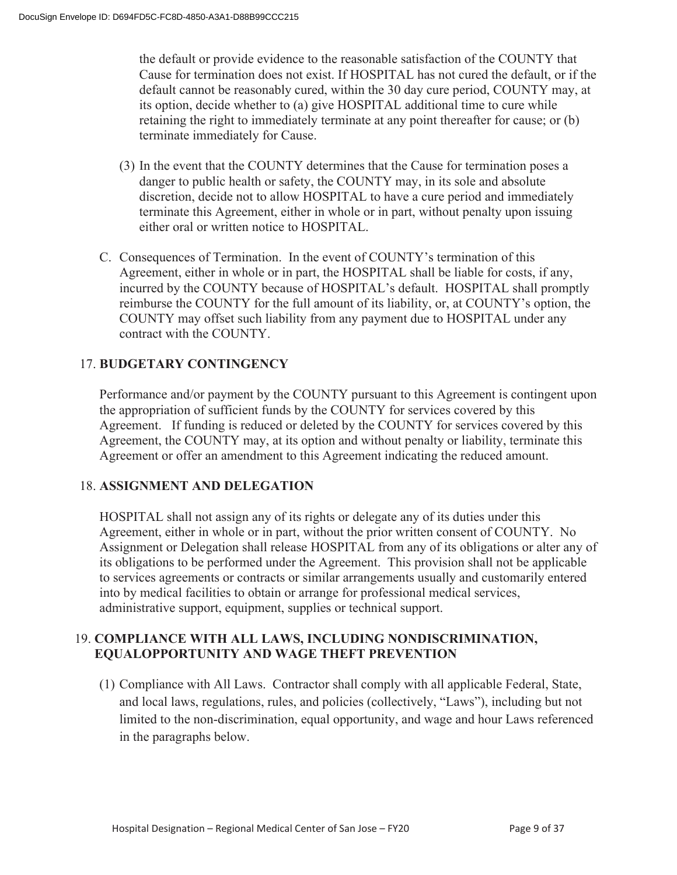the default or provide evidence to the reasonable satisfaction of the COUNTY that Cause for termination does not exist. If HOSPITAL has not cured the default, or if the default cannot be reasonably cured, within the 30 day cure period, COUNTY may, at its option, decide whether to (a) give HOSPITAL additional time to cure while retaining the right to immediately terminate at any point thereafter for cause; or (b) terminate immediately for Cause.

- (3) In the event that the COUNTY determines that the Cause for termination poses a danger to public health or safety, the COUNTY may, in its sole and absolute discretion, decide not to allow HOSPITAL to have a cure period and immediately terminate this Agreement, either in whole or in part, without penalty upon issuing either oral or written notice to HOSPITAL.
- C. Consequences of Termination. In the event of COUNTY's termination of this Agreement, either in whole or in part, the HOSPITAL shall be liable for costs, if any, incurred by the COUNTY because of HOSPITAL's default. HOSPITAL shall promptly reimburse the COUNTY for the full amount of its liability, or, at COUNTY's option, the COUNTY may offset such liability from any payment due to HOSPITAL under any contract with the COUNTY.

#### 17. **BUDGETARY CONTINGENCY**

Performance and/or payment by the COUNTY pursuant to this Agreement is contingent upon the appropriation of sufficient funds by the COUNTY for services covered by this Agreement. If funding is reduced or deleted by the COUNTY for services covered by this Agreement, the COUNTY may, at its option and without penalty or liability, terminate this Agreement or offer an amendment to this Agreement indicating the reduced amount.

#### 18. **ASSIGNMENT AND DELEGATION**

HOSPITAL shall not assign any of its rights or delegate any of its duties under this Agreement, either in whole or in part, without the prior written consent of COUNTY. No Assignment or Delegation shall release HOSPITAL from any of its obligations or alter any of its obligations to be performed under the Agreement. This provision shall not be applicable to services agreements or contracts or similar arrangements usually and customarily entered into by medical facilities to obtain or arrange for professional medical services, administrative support, equipment, supplies or technical support.

#### 19. **COMPLIANCE WITH ALL LAWS, INCLUDING NONDISCRIMINATION, EQUALOPPORTUNITY AND WAGE THEFT PREVENTION**

(1) Compliance with All Laws. Contractor shall comply with all applicable Federal, State, and local laws, regulations, rules, and policies (collectively, "Laws"), including but not limited to the non-discrimination, equal opportunity, and wage and hour Laws referenced in the paragraphs below.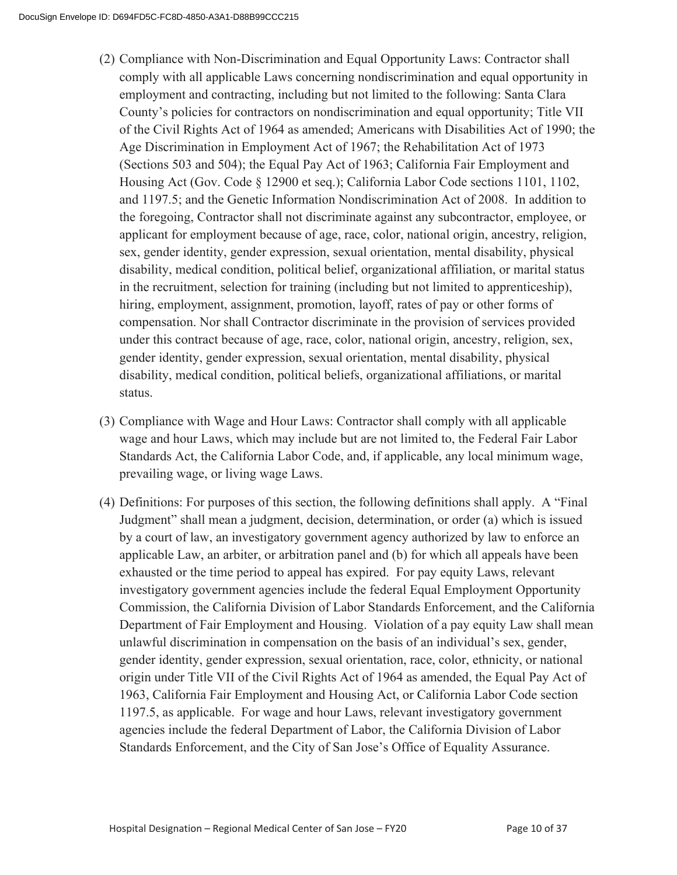- (2) Compliance with Non-Discrimination and Equal Opportunity Laws: Contractor shall comply with all applicable Laws concerning nondiscrimination and equal opportunity in employment and contracting, including but not limited to the following: Santa Clara County's policies for contractors on nondiscrimination and equal opportunity; Title VII of the Civil Rights Act of 1964 as amended; Americans with Disabilities Act of 1990; the Age Discrimination in Employment Act of 1967; the Rehabilitation Act of 1973 (Sections 503 and 504); the Equal Pay Act of 1963; California Fair Employment and Housing Act (Gov. Code § 12900 et seq.); California Labor Code sections 1101, 1102, and 1197.5; and the Genetic Information Nondiscrimination Act of 2008. In addition to the foregoing, Contractor shall not discriminate against any subcontractor, employee, or applicant for employment because of age, race, color, national origin, ancestry, religion, sex, gender identity, gender expression, sexual orientation, mental disability, physical disability, medical condition, political belief, organizational affiliation, or marital status in the recruitment, selection for training (including but not limited to apprenticeship), hiring, employment, assignment, promotion, layoff, rates of pay or other forms of compensation. Nor shall Contractor discriminate in the provision of services provided under this contract because of age, race, color, national origin, ancestry, religion, sex, gender identity, gender expression, sexual orientation, mental disability, physical disability, medical condition, political beliefs, organizational affiliations, or marital status.
- (3) Compliance with Wage and Hour Laws: Contractor shall comply with all applicable wage and hour Laws, which may include but are not limited to, the Federal Fair Labor Standards Act, the California Labor Code, and, if applicable, any local minimum wage, prevailing wage, or living wage Laws.
- (4) Definitions: For purposes of this section, the following definitions shall apply. A "Final Judgment" shall mean a judgment, decision, determination, or order (a) which is issued by a court of law, an investigatory government agency authorized by law to enforce an applicable Law, an arbiter, or arbitration panel and (b) for which all appeals have been exhausted or the time period to appeal has expired. For pay equity Laws, relevant investigatory government agencies include the federal Equal Employment Opportunity Commission, the California Division of Labor Standards Enforcement, and the California Department of Fair Employment and Housing. Violation of a pay equity Law shall mean unlawful discrimination in compensation on the basis of an individual's sex, gender, gender identity, gender expression, sexual orientation, race, color, ethnicity, or national origin under Title VII of the Civil Rights Act of 1964 as amended, the Equal Pay Act of 1963, California Fair Employment and Housing Act, or California Labor Code section 1197.5, as applicable. For wage and hour Laws, relevant investigatory government agencies include the federal Department of Labor, the California Division of Labor Standards Enforcement, and the City of San Jose's Office of Equality Assurance.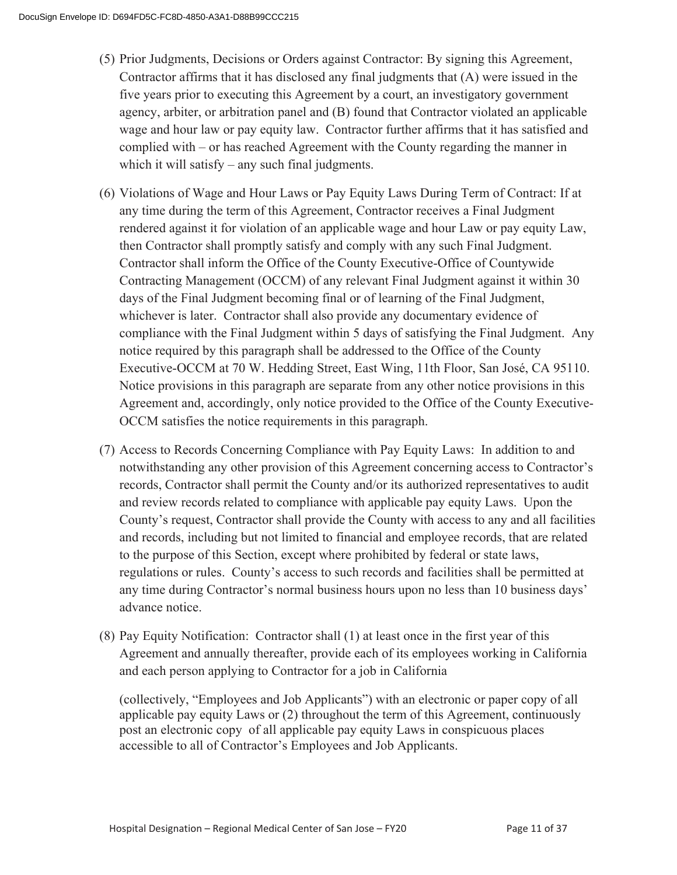- (5) Prior Judgments, Decisions or Orders against Contractor: By signing this Agreement, Contractor affirms that it has disclosed any final judgments that (A) were issued in the five years prior to executing this Agreement by a court, an investigatory government agency, arbiter, or arbitration panel and (B) found that Contractor violated an applicable wage and hour law or pay equity law. Contractor further affirms that it has satisfied and complied with – or has reached Agreement with the County regarding the manner in which it will satisfy – any such final judgments.
- (6) Violations of Wage and Hour Laws or Pay Equity Laws During Term of Contract: If at any time during the term of this Agreement, Contractor receives a Final Judgment rendered against it for violation of an applicable wage and hour Law or pay equity Law, then Contractor shall promptly satisfy and comply with any such Final Judgment. Contractor shall inform the Office of the County Executive-Office of Countywide Contracting Management (OCCM) of any relevant Final Judgment against it within 30 days of the Final Judgment becoming final or of learning of the Final Judgment, whichever is later. Contractor shall also provide any documentary evidence of compliance with the Final Judgment within 5 days of satisfying the Final Judgment. Any notice required by this paragraph shall be addressed to the Office of the County Executive-OCCM at 70 W. Hedding Street, East Wing, 11th Floor, San José, CA 95110. Notice provisions in this paragraph are separate from any other notice provisions in this Agreement and, accordingly, only notice provided to the Office of the County Executive-OCCM satisfies the notice requirements in this paragraph.
- (7) Access to Records Concerning Compliance with Pay Equity Laws: In addition to and notwithstanding any other provision of this Agreement concerning access to Contractor's records, Contractor shall permit the County and/or its authorized representatives to audit and review records related to compliance with applicable pay equity Laws. Upon the County's request, Contractor shall provide the County with access to any and all facilities and records, including but not limited to financial and employee records, that are related to the purpose of this Section, except where prohibited by federal or state laws, regulations or rules. County's access to such records and facilities shall be permitted at any time during Contractor's normal business hours upon no less than 10 business days' advance notice.
- (8) Pay Equity Notification: Contractor shall (1) at least once in the first year of this Agreement and annually thereafter, provide each of its employees working in California and each person applying to Contractor for a job in California

(collectively, "Employees and Job Applicants") with an electronic or paper copy of all applicable pay equity Laws or (2) throughout the term of this Agreement, continuously post an electronic copy of all applicable pay equity Laws in conspicuous places accessible to all of Contractor's Employees and Job Applicants.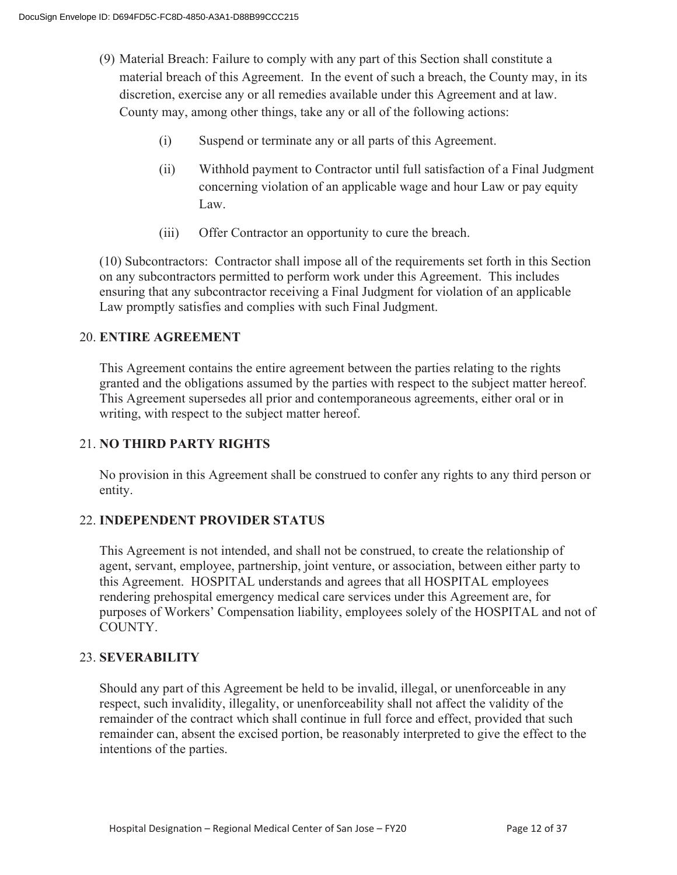- (9) Material Breach: Failure to comply with any part of this Section shall constitute a material breach of this Agreement. In the event of such a breach, the County may, in its discretion, exercise any or all remedies available under this Agreement and at law. County may, among other things, take any or all of the following actions:
	- (i) Suspend or terminate any or all parts of this Agreement.
	- (ii) Withhold payment to Contractor until full satisfaction of a Final Judgment concerning violation of an applicable wage and hour Law or pay equity Law.
	- (iii) Offer Contractor an opportunity to cure the breach.

(10) Subcontractors: Contractor shall impose all of the requirements set forth in this Section on any subcontractors permitted to perform work under this Agreement. This includes ensuring that any subcontractor receiving a Final Judgment for violation of an applicable Law promptly satisfies and complies with such Final Judgment.

#### 20. **ENTIRE AGREEMENT**

 This Agreement contains the entire agreement between the parties relating to the rights granted and the obligations assumed by the parties with respect to the subject matter hereof. This Agreement supersedes all prior and contemporaneous agreements, either oral or in writing, with respect to the subject matter hereof.

#### 21. **NO THIRD PARTY RIGHTS**

No provision in this Agreement shall be construed to confer any rights to any third person or entity.

#### 22. **INDEPENDENT PROVIDER STATUS**

This Agreement is not intended, and shall not be construed, to create the relationship of agent, servant, employee, partnership, joint venture, or association, between either party to this Agreement. HOSPITAL understands and agrees that all HOSPITAL employees rendering prehospital emergency medical care services under this Agreement are, for purposes of Workers' Compensation liability, employees solely of the HOSPITAL and not of COUNTY.

#### 23. **SEVERABILITY**

Should any part of this Agreement be held to be invalid, illegal, or unenforceable in any respect, such invalidity, illegality, or unenforceability shall not affect the validity of the remainder of the contract which shall continue in full force and effect, provided that such remainder can, absent the excised portion, be reasonably interpreted to give the effect to the intentions of the parties.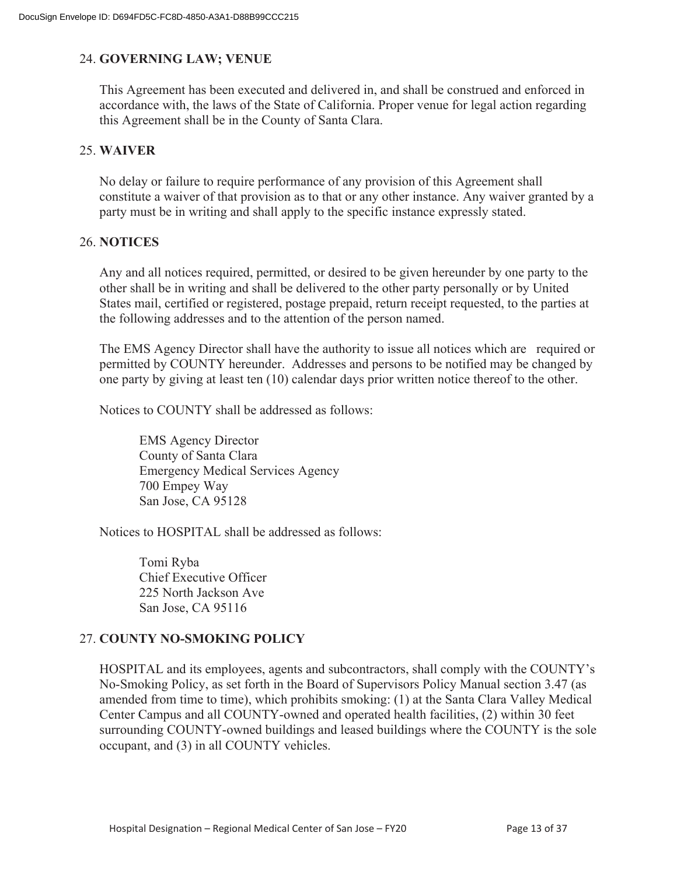#### 24. **GOVERNING LAW; VENUE**

This Agreement has been executed and delivered in, and shall be construed and enforced in accordance with, the laws of the State of California. Proper venue for legal action regarding this Agreement shall be in the County of Santa Clara.

#### 25. **WAIVER**

No delay or failure to require performance of any provision of this Agreement shall constitute a waiver of that provision as to that or any other instance. Any waiver granted by a party must be in writing and shall apply to the specific instance expressly stated.

#### 26. **NOTICES**

Any and all notices required, permitted, or desired to be given hereunder by one party to the other shall be in writing and shall be delivered to the other party personally or by United States mail, certified or registered, postage prepaid, return receipt requested, to the parties at the following addresses and to the attention of the person named.

The EMS Agency Director shall have the authority to issue all notices which are required or permitted by COUNTY hereunder. Addresses and persons to be notified may be changed by one party by giving at least ten (10) calendar days prior written notice thereof to the other.

Notices to COUNTY shall be addressed as follows:

EMS Agency Director County of Santa Clara Emergency Medical Services Agency 700 Empey Way San Jose, CA 95128

Notices to HOSPITAL shall be addressed as follows:

Tomi Ryba Chief Executive Officer 225 North Jackson Ave San Jose, CA 95116

#### 27. **COUNTY NO-SMOKING POLICY**

HOSPITAL and its employees, agents and subcontractors, shall comply with the COUNTY's No-Smoking Policy, as set forth in the Board of Supervisors Policy Manual section 3.47 (as amended from time to time), which prohibits smoking: (1) at the Santa Clara Valley Medical Center Campus and all COUNTY-owned and operated health facilities, (2) within 30 feet surrounding COUNTY-owned buildings and leased buildings where the COUNTY is the sole occupant, and (3) in all COUNTY vehicles.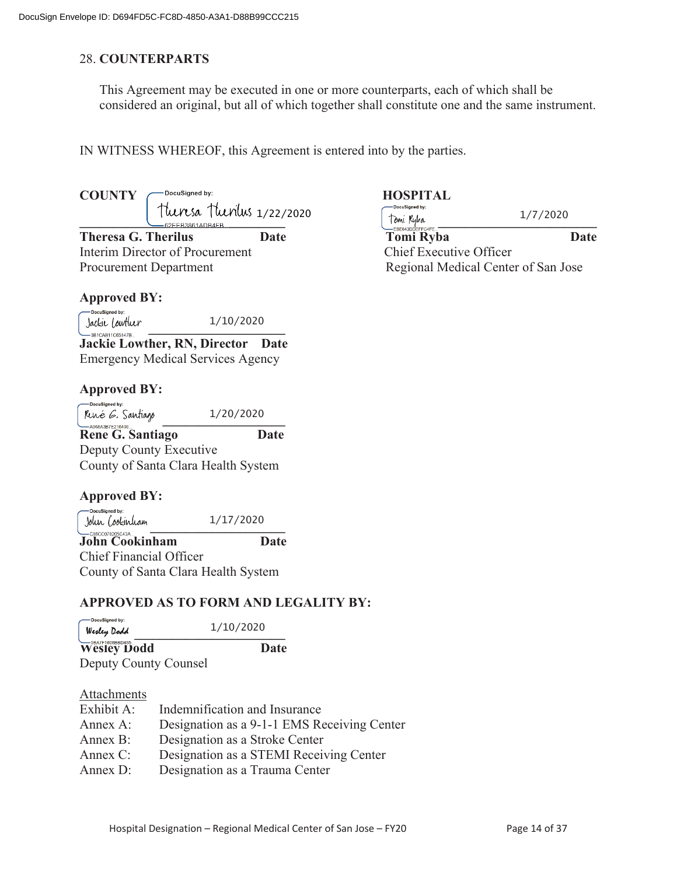#### 28. **COUNTERPARTS**

This Agreement may be executed in one or more counterparts, each of which shall be considered an original, but all of which together shall constitute one and the same instrument.

IN WITNESS WHEREOF, this Agreement is entered into by the parties.

# COUNTY C<sup>DocuSigned by: **HOSPITAL**</sup>

**Theresa G. Therilus Date** Interim Director of Procurement Chief Executive Officer Chief Executive Officer Chief Executive Officer Chief Executive Officer Chief Executive Officer Chief Executive Officer Chief Executive Officer Chief Executive Office Procurement Department Network Regional Medical Center of San Jose

#### **Approved BY:**

-DocuSigned by: **Jackie Lowtluer**<br>——3BICAB11C65147B... 1/10/2020

**Jackie Lowther, RN, Director Date** Emergency Medical Services Agency

#### **Approved BY:**

-DocuSigned by: 1/20/2020  $\mu$  $\mu$  $\ell$   $\ell$ ,  $\mu$  $\mu$  $\ell$  $\ell$ ,  $\ell$  $\ell$  $\ell$  $\ell$ **Rene G. Santiago Date**  Deputy County Executive County of Santa Clara Health System

#### **Approved BY:**

 DocuSigned by: 1/17/2020  $1/11/2020$ <br> $1/11/2020$ 

**John Cookinham Date** Chief Financial Officer County of Santa Clara Health System

#### **APPROVED AS TO FORM AND LEGALITY BY:**

| - DocuSigned by:<br>Wesley Dodd                                               | 1/10/2020 |  |
|-------------------------------------------------------------------------------|-----------|--|
| Wesley Dodd                                                                   | Date      |  |
| $\mathbf{D}$ $\mathbf{A}$ $\mathbf{A}$ $\mathbf{A}$ $\mathbf{A}$ $\mathbf{A}$ |           |  |

Deputy County Counsel

#### Attachments

| Exhibit A: | Indemnification and Insurance               |
|------------|---------------------------------------------|
| Annex A:   | Designation as a 9-1-1 EMS Receiving Center |
| Annex B:   | Designation as a Stroke Center              |
| Annex C:   | Designation as a STEMI Receiving Center     |
| Annex D:   | Designation as a Trauma Center              |

| Theresa Theolus 1/22/2020<br>$-62$ FFB3861ADB4FB |      | -DocuSigned by:<br>Tomi Ruba<br>— EBE643DDEFFC4FE | 1/7/2020 |  |
|--------------------------------------------------|------|---------------------------------------------------|----------|--|
| Theresa G. Therilus                              | Date | Tomi Ryba                                         | Date     |  |
| Interim Director of Procurement                  |      | Chief Executive Officer                           |          |  |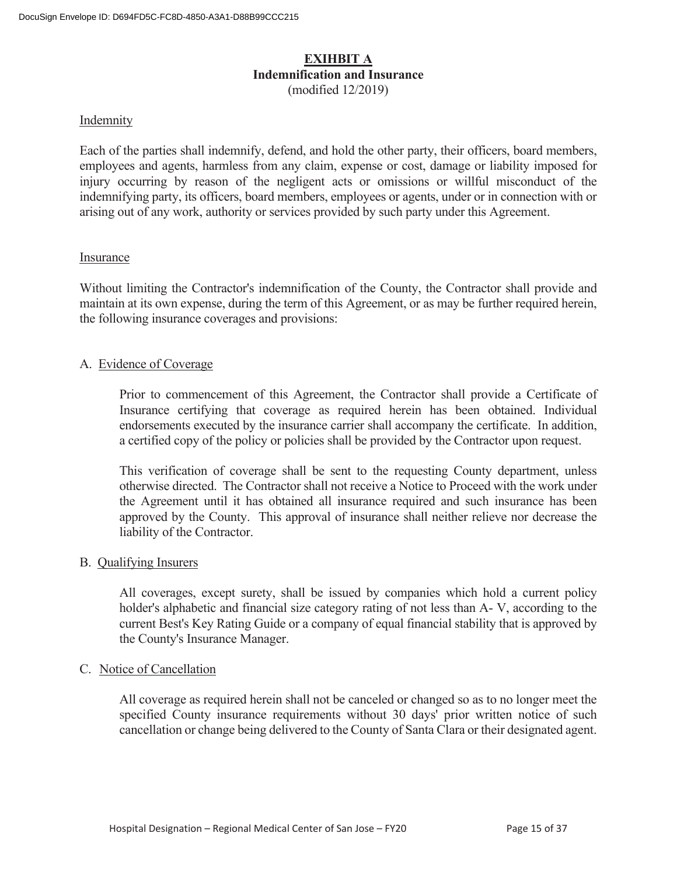#### **EXIHBIT A Indemnification and Insurance**  (modified 12/2019)

#### Indemnity

Each of the parties shall indemnify, defend, and hold the other party, their officers, board members, employees and agents, harmless from any claim, expense or cost, damage or liability imposed for injury occurring by reason of the negligent acts or omissions or willful misconduct of the indemnifying party, its officers, board members, employees or agents, under or in connection with or arising out of any work, authority or services provided by such party under this Agreement.

#### Insurance

Without limiting the Contractor's indemnification of the County, the Contractor shall provide and maintain at its own expense, during the term of this Agreement, or as may be further required herein, the following insurance coverages and provisions:

#### A. Evidence of Coverage

 Prior to commencement of this Agreement, the Contractor shall provide a Certificate of Insurance certifying that coverage as required herein has been obtained. Individual endorsements executed by the insurance carrier shall accompany the certificate. In addition, a certified copy of the policy or policies shall be provided by the Contractor upon request.

 This verification of coverage shall be sent to the requesting County department, unless otherwise directed. The Contractor shall not receive a Notice to Proceed with the work under the Agreement until it has obtained all insurance required and such insurance has been approved by the County. This approval of insurance shall neither relieve nor decrease the liability of the Contractor.

#### B. Qualifying Insurers

 All coverages, except surety, shall be issued by companies which hold a current policy holder's alphabetic and financial size category rating of not less than A- V, according to the current Best's Key Rating Guide or a company of equal financial stability that is approved by the County's Insurance Manager.

#### C. Notice of Cancellation

All coverage as required herein shall not be canceled or changed so as to no longer meet the specified County insurance requirements without 30 days' prior written notice of such cancellation or change being delivered to the County of Santa Clara or their designated agent.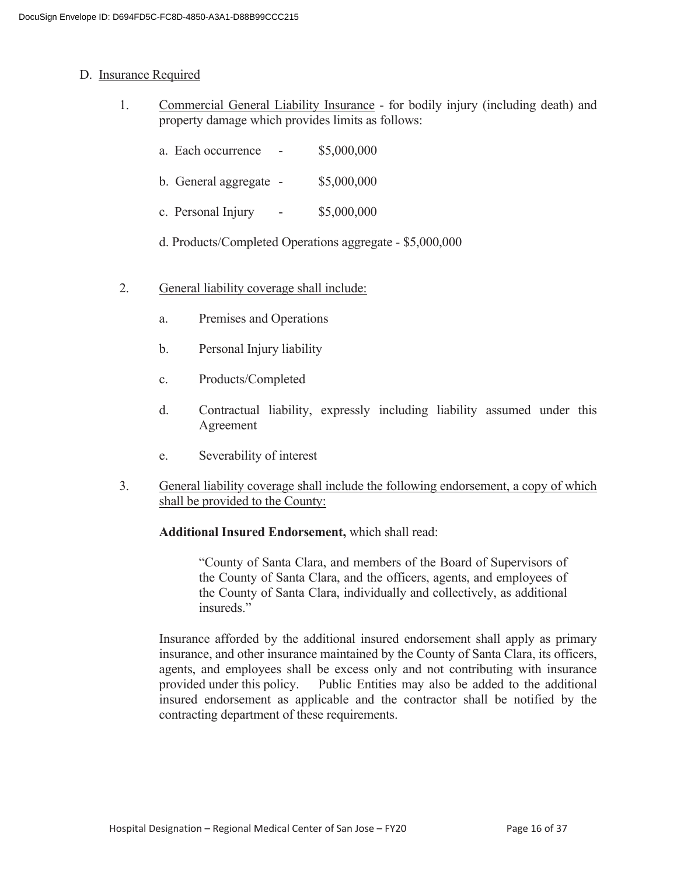#### D. Insurance Required

- 1. Commercial General Liability Insurance for bodily injury (including death) and property damage which provides limits as follows:
	- a. Each occurrence \$5,000,000
	- b. General aggregate \$5,000,000
	- c. Personal Injury \$5,000,000
	- d. Products/Completed Operations aggregate \$5,000,000
- 2. General liability coverage shall include:
	- a. Premises and Operations
	- b. Personal Injury liability
	- c. Products/Completed
	- d. Contractual liability, expressly including liability assumed under this Agreement
	- e. Severability of interest
- 3. General liability coverage shall include the following endorsement, a copy of which shall be provided to the County:

#### **Additional Insured Endorsement,** which shall read:

 "County of Santa Clara, and members of the Board of Supervisors of the County of Santa Clara, and the officers, agents, and employees of the County of Santa Clara, individually and collectively, as additional insureds."

 Insurance afforded by the additional insured endorsement shall apply as primary insurance, and other insurance maintained by the County of Santa Clara, its officers, agents, and employees shall be excess only and not contributing with insurance provided under this policy. Public Entities may also be added to the additional insured endorsement as applicable and the contractor shall be notified by the contracting department of these requirements.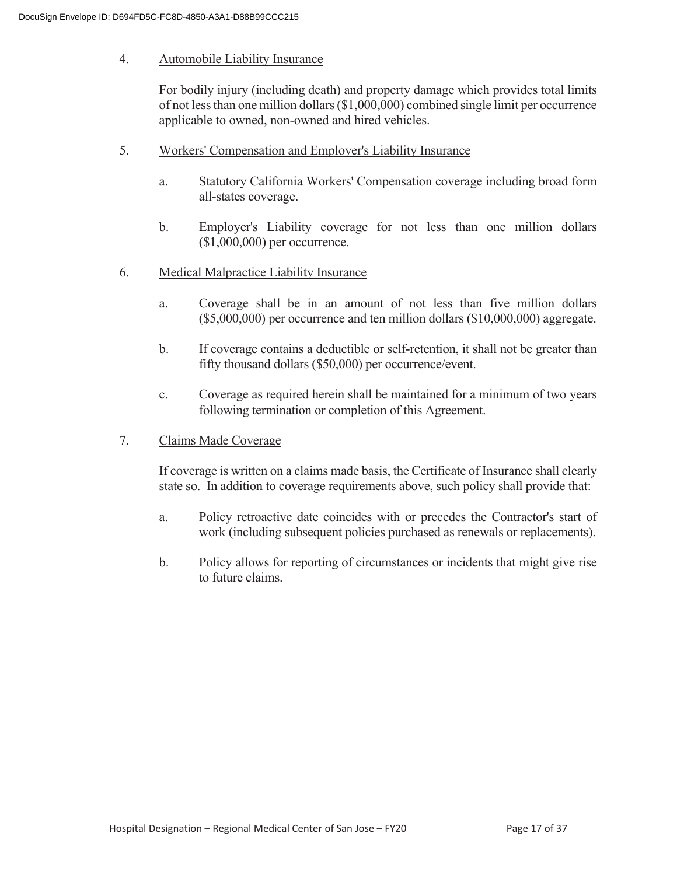#### 4. Automobile Liability Insurance

 For bodily injury (including death) and property damage which provides total limits of not less than one million dollars (\$1,000,000) combined single limit per occurrence applicable to owned, non-owned and hired vehicles.

- 5. Workers' Compensation and Employer's Liability Insurance
	- a. Statutory California Workers' Compensation coverage including broad form all-states coverage.
	- b. Employer's Liability coverage for not less than one million dollars (\$1,000,000) per occurrence.
- 6. Medical Malpractice Liability Insurance
	- a. Coverage shall be in an amount of not less than five million dollars (\$5,000,000) per occurrence and ten million dollars (\$10,000,000) aggregate.
	- b. If coverage contains a deductible or self-retention, it shall not be greater than fifty thousand dollars (\$50,000) per occurrence/event.
	- c. Coverage as required herein shall be maintained for a minimum of two years following termination or completion of this Agreement.
- 7. Claims Made Coverage

 If coverage is written on a claims made basis, the Certificate of Insurance shall clearly state so. In addition to coverage requirements above, such policy shall provide that:

- a. Policy retroactive date coincides with or precedes the Contractor's start of work (including subsequent policies purchased as renewals or replacements).
- b. Policy allows for reporting of circumstances or incidents that might give rise to future claims.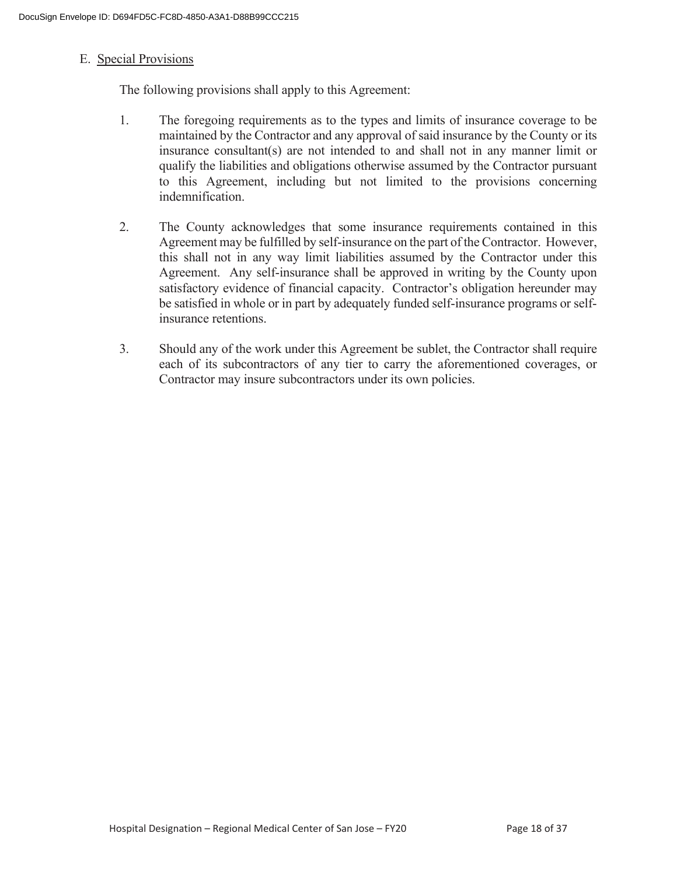#### E. Special Provisions

The following provisions shall apply to this Agreement:

- 1. The foregoing requirements as to the types and limits of insurance coverage to be maintained by the Contractor and any approval of said insurance by the County or its insurance consultant(s) are not intended to and shall not in any manner limit or qualify the liabilities and obligations otherwise assumed by the Contractor pursuant to this Agreement, including but not limited to the provisions concerning indemnification.
- 2. The County acknowledges that some insurance requirements contained in this Agreement may be fulfilled by self-insurance on the part of the Contractor. However, this shall not in any way limit liabilities assumed by the Contractor under this Agreement. Any self-insurance shall be approved in writing by the County upon satisfactory evidence of financial capacity. Contractor's obligation hereunder may be satisfied in whole or in part by adequately funded self-insurance programs or selfinsurance retentions.
- 3. Should any of the work under this Agreement be sublet, the Contractor shall require each of its subcontractors of any tier to carry the aforementioned coverages, or Contractor may insure subcontractors under its own policies.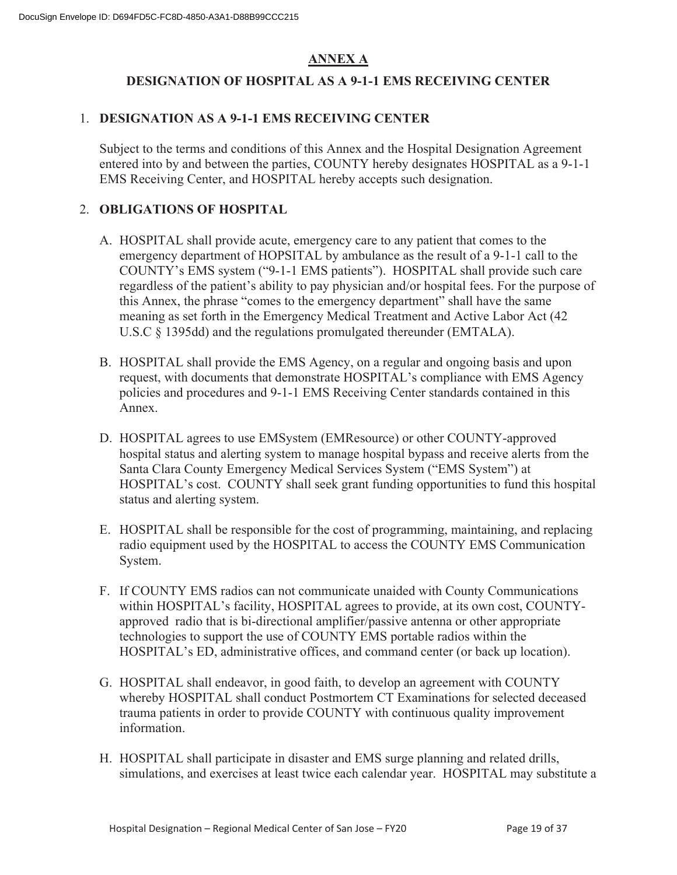### **ANNEX A**

#### **DESIGNATION OF HOSPITAL AS A 9-1-1 EMS RECEIVING CENTER**

#### 1. **DESIGNATION AS A 9-1-1 EMS RECEIVING CENTER**

Subject to the terms and conditions of this Annex and the Hospital Designation Agreement entered into by and between the parties, COUNTY hereby designates HOSPITAL as a 9-1-1 EMS Receiving Center, and HOSPITAL hereby accepts such designation.

#### 2. **OBLIGATIONS OF HOSPITAL**

- A. HOSPITAL shall provide acute, emergency care to any patient that comes to the emergency department of HOPSITAL by ambulance as the result of a 9-1-1 call to the COUNTY's EMS system ("9-1-1 EMS patients"). HOSPITAL shall provide such care regardless of the patient's ability to pay physician and/or hospital fees. For the purpose of this Annex, the phrase "comes to the emergency department" shall have the same meaning as set forth in the Emergency Medical Treatment and Active Labor Act (42 U.S.C § 1395dd) and the regulations promulgated thereunder (EMTALA).
- B. HOSPITAL shall provide the EMS Agency, on a regular and ongoing basis and upon request, with documents that demonstrate HOSPITAL's compliance with EMS Agency policies and procedures and 9-1-1 EMS Receiving Center standards contained in this Annex.
- D. HOSPITAL agrees to use EMSystem (EMResource) or other COUNTY-approved hospital status and alerting system to manage hospital bypass and receive alerts from the Santa Clara County Emergency Medical Services System ("EMS System") at HOSPITAL's cost. COUNTY shall seek grant funding opportunities to fund this hospital status and alerting system.
- E. HOSPITAL shall be responsible for the cost of programming, maintaining, and replacing radio equipment used by the HOSPITAL to access the COUNTY EMS Communication System.
- F. If COUNTY EMS radios can not communicate unaided with County Communications within HOSPITAL's facility, HOSPITAL agrees to provide, at its own cost, COUNTYapproved radio that is bi-directional amplifier/passive antenna or other appropriate technologies to support the use of COUNTY EMS portable radios within the HOSPITAL's ED, administrative offices, and command center (or back up location).
- G. HOSPITAL shall endeavor, in good faith, to develop an agreement with COUNTY whereby HOSPITAL shall conduct Postmortem CT Examinations for selected deceased trauma patients in order to provide COUNTY with continuous quality improvement information.
- H. HOSPITAL shall participate in disaster and EMS surge planning and related drills, simulations, and exercises at least twice each calendar year. HOSPITAL may substitute a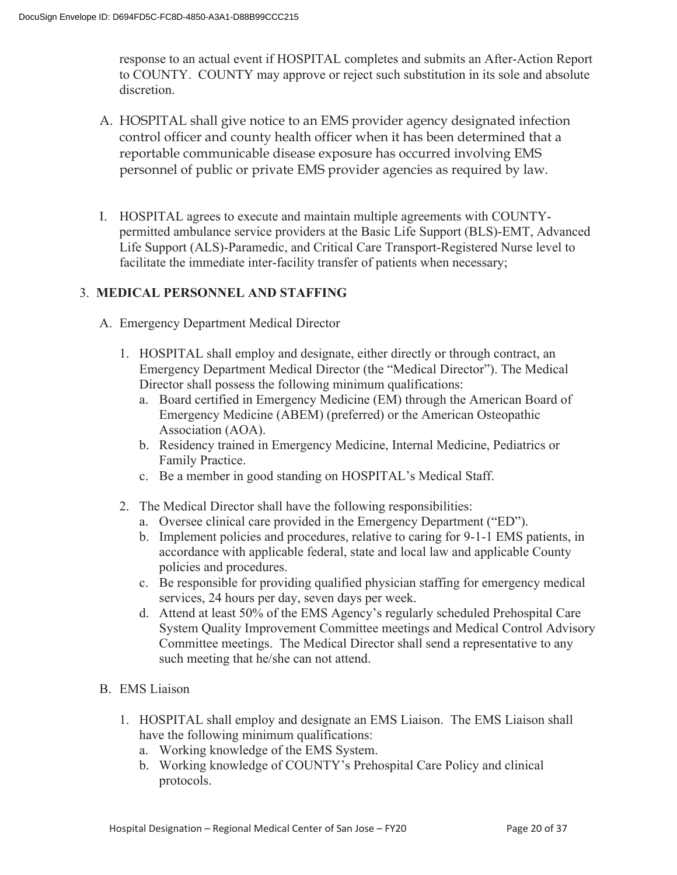response to an actual event if HOSPITAL completes and submits an After-Action Report to COUNTY. COUNTY may approve or reject such substitution in its sole and absolute discretion.

- A. HOSPITAL shall give notice to an EMS provider agency designated infection control officer and county health officer when it has been determined that a reportable communicable disease exposure has occurred involving EMS personnel of public or private EMS provider agencies as required by law.
- I. HOSPITAL agrees to execute and maintain multiple agreements with COUNTYpermitted ambulance service providers at the Basic Life Support (BLS)-EMT, Advanced Life Support (ALS)-Paramedic, and Critical Care Transport-Registered Nurse level to facilitate the immediate inter-facility transfer of patients when necessary;

#### 3. **MEDICAL PERSONNEL AND STAFFING**

- A. Emergency Department Medical Director
	- 1. HOSPITAL shall employ and designate, either directly or through contract, an Emergency Department Medical Director (the "Medical Director"). The Medical Director shall possess the following minimum qualifications:
		- a. Board certified in Emergency Medicine (EM) through the American Board of Emergency Medicine (ABEM) (preferred) or the American Osteopathic Association (AOA).
		- b. Residency trained in Emergency Medicine, Internal Medicine, Pediatrics or Family Practice.
		- c. Be a member in good standing on HOSPITAL's Medical Staff.
	- 2. The Medical Director shall have the following responsibilities:
		- a. Oversee clinical care provided in the Emergency Department ("ED").
		- b. Implement policies and procedures, relative to caring for 9-1-1 EMS patients, in accordance with applicable federal, state and local law and applicable County policies and procedures.
		- c. Be responsible for providing qualified physician staffing for emergency medical services, 24 hours per day, seven days per week.
		- d. Attend at least 50% of the EMS Agency's regularly scheduled Prehospital Care System Quality Improvement Committee meetings and Medical Control Advisory Committee meetings. The Medical Director shall send a representative to any such meeting that he/she can not attend.
- B. EMS Liaison
	- 1. HOSPITAL shall employ and designate an EMS Liaison. The EMS Liaison shall have the following minimum qualifications:
		- a. Working knowledge of the EMS System.
		- b. Working knowledge of COUNTY's Prehospital Care Policy and clinical protocols.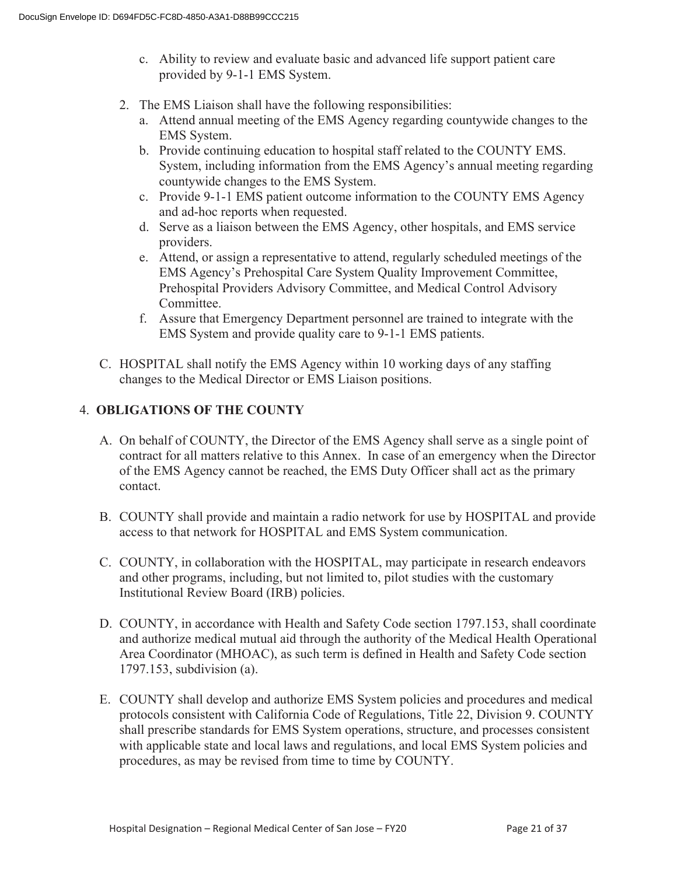- c. Ability to review and evaluate basic and advanced life support patient care provided by 9-1-1 EMS System.
- 2. The EMS Liaison shall have the following responsibilities:
	- a. Attend annual meeting of the EMS Agency regarding countywide changes to the EMS System.
	- b. Provide continuing education to hospital staff related to the COUNTY EMS. System, including information from the EMS Agency's annual meeting regarding countywide changes to the EMS System.
	- c. Provide 9-1-1 EMS patient outcome information to the COUNTY EMS Agency and ad-hoc reports when requested.
	- d. Serve as a liaison between the EMS Agency, other hospitals, and EMS service providers.
	- e. Attend, or assign a representative to attend, regularly scheduled meetings of the EMS Agency's Prehospital Care System Quality Improvement Committee, Prehospital Providers Advisory Committee, and Medical Control Advisory Committee.
	- f. Assure that Emergency Department personnel are trained to integrate with the EMS System and provide quality care to 9-1-1 EMS patients.
- C. HOSPITAL shall notify the EMS Agency within 10 working days of any staffing changes to the Medical Director or EMS Liaison positions.

#### 4. **OBLIGATIONS OF THE COUNTY**

- A. On behalf of COUNTY, the Director of the EMS Agency shall serve as a single point of contract for all matters relative to this Annex. In case of an emergency when the Director of the EMS Agency cannot be reached, the EMS Duty Officer shall act as the primary contact.
- B. COUNTY shall provide and maintain a radio network for use by HOSPITAL and provide access to that network for HOSPITAL and EMS System communication.
- C. COUNTY, in collaboration with the HOSPITAL, may participate in research endeavors and other programs, including, but not limited to, pilot studies with the customary Institutional Review Board (IRB) policies.
- D. COUNTY, in accordance with Health and Safety Code section 1797.153, shall coordinate and authorize medical mutual aid through the authority of the Medical Health Operational Area Coordinator (MHOAC), as such term is defined in Health and Safety Code section 1797.153, subdivision (a).
- E. COUNTY shall develop and authorize EMS System policies and procedures and medical protocols consistent with California Code of Regulations, Title 22, Division 9. COUNTY shall prescribe standards for EMS System operations, structure, and processes consistent with applicable state and local laws and regulations, and local EMS System policies and procedures, as may be revised from time to time by COUNTY.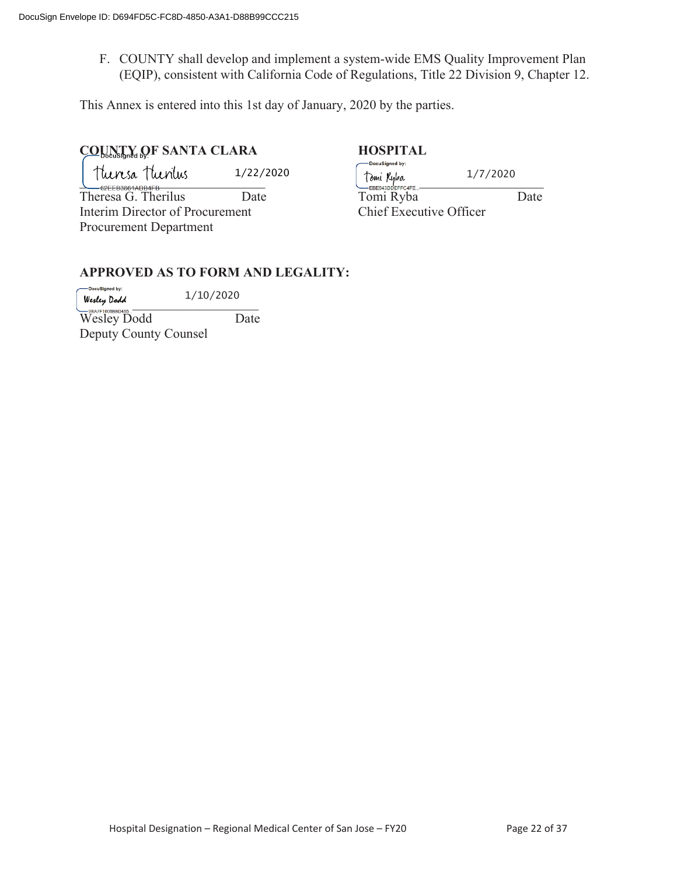F. COUNTY shall develop and implement a system-wide EMS Quality Improvement Plan (EQIP), consistent with California Code of Regulations, Title 22 Division 9, Chapter 12.

This Annex is entered into this 1st day of January, 2020 by the parties.

# **COUNTY OF SANTA CLARA HOSPITAL**

1/22/2020

Interim Director of Procurement Chief Executive Officer Procurement Department

\_\_\_\_\_\_\_\_\_\_\_\_\_\_\_\_\_\_\_\_\_\_\_\_\_\_\_\_ \_\_\_\_\_\_\_\_\_\_\_\_\_\_\_\_\_\_\_\_\_\_\_\_\_\_\_\_ Theresa G. Therilus Date Date Tomi Ryba Date 1/7/2020

#### **APPROVED AS TO FORM AND LEGALITY:**

-DocuSigned by: 1/10/2020  $W$ esley Dodd  $\qquad \qquad$   $\qquad$   $\qquad$   $\qquad$   $\qquad$   $\qquad$   $\qquad$   $\qquad$   $\qquad$   $\qquad$   $\qquad$   $\qquad$   $\qquad$   $\qquad$   $\qquad$   $\qquad$   $\qquad$   $\qquad$   $\qquad$   $\qquad$   $\qquad$   $\qquad$   $\qquad$   $\qquad$   $\qquad$   $\qquad$   $\qquad$   $\qquad$   $\qquad$   $\qquad$   $\qquad$   $\qquad$   $\qquad$   $\qquad$ 

Wesley Dodd Date Deputy County Counsel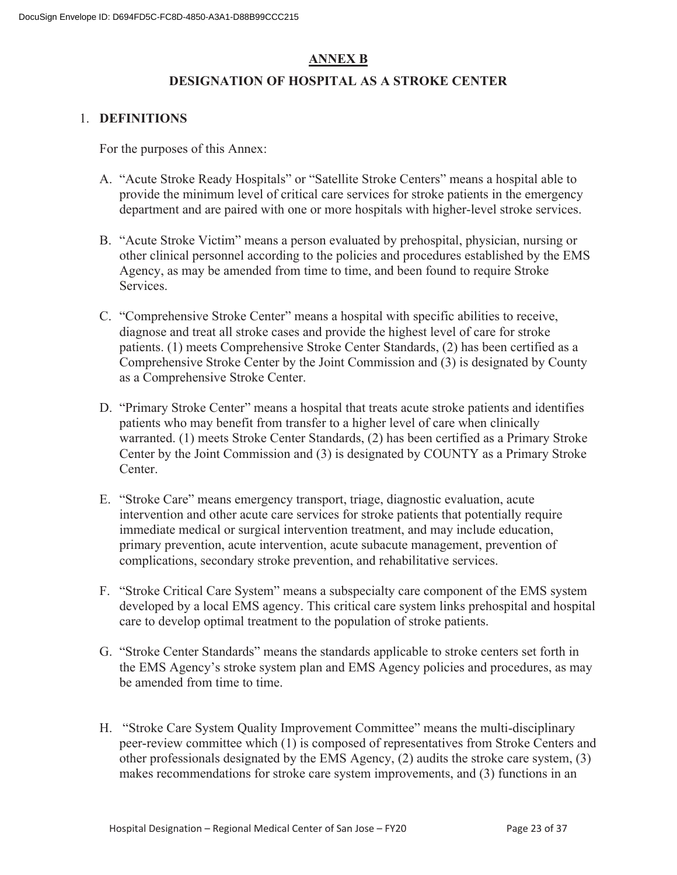#### **ANNEX B**

#### **DESIGNATION OF HOSPITAL AS A STROKE CENTER**

#### 1. **DEFINITIONS**

For the purposes of this Annex:

- A. "Acute Stroke Ready Hospitals" or "Satellite Stroke Centers" means a hospital able to provide the minimum level of critical care services for stroke patients in the emergency department and are paired with one or more hospitals with higher-level stroke services.
- B. "Acute Stroke Victim" means a person evaluated by prehospital, physician, nursing or other clinical personnel according to the policies and procedures established by the EMS Agency, as may be amended from time to time, and been found to require Stroke Services.
- C. "Comprehensive Stroke Center" means a hospital with specific abilities to receive, diagnose and treat all stroke cases and provide the highest level of care for stroke patients. (1) meets Comprehensive Stroke Center Standards, (2) has been certified as a Comprehensive Stroke Center by the Joint Commission and (3) is designated by County as a Comprehensive Stroke Center.
- D. "Primary Stroke Center" means a hospital that treats acute stroke patients and identifies patients who may benefit from transfer to a higher level of care when clinically warranted. (1) meets Stroke Center Standards, (2) has been certified as a Primary Stroke Center by the Joint Commission and (3) is designated by COUNTY as a Primary Stroke Center.
- E. "Stroke Care" means emergency transport, triage, diagnostic evaluation, acute intervention and other acute care services for stroke patients that potentially require immediate medical or surgical intervention treatment, and may include education, primary prevention, acute intervention, acute subacute management, prevention of complications, secondary stroke prevention, and rehabilitative services.
- F. "Stroke Critical Care System" means a subspecialty care component of the EMS system developed by a local EMS agency. This critical care system links prehospital and hospital care to develop optimal treatment to the population of stroke patients.
- G. "Stroke Center Standards" means the standards applicable to stroke centers set forth in the EMS Agency's stroke system plan and EMS Agency policies and procedures, as may be amended from time to time.
- H. "Stroke Care System Quality Improvement Committee" means the multi-disciplinary peer-review committee which (1) is composed of representatives from Stroke Centers and other professionals designated by the EMS Agency, (2) audits the stroke care system, (3) makes recommendations for stroke care system improvements, and (3) functions in an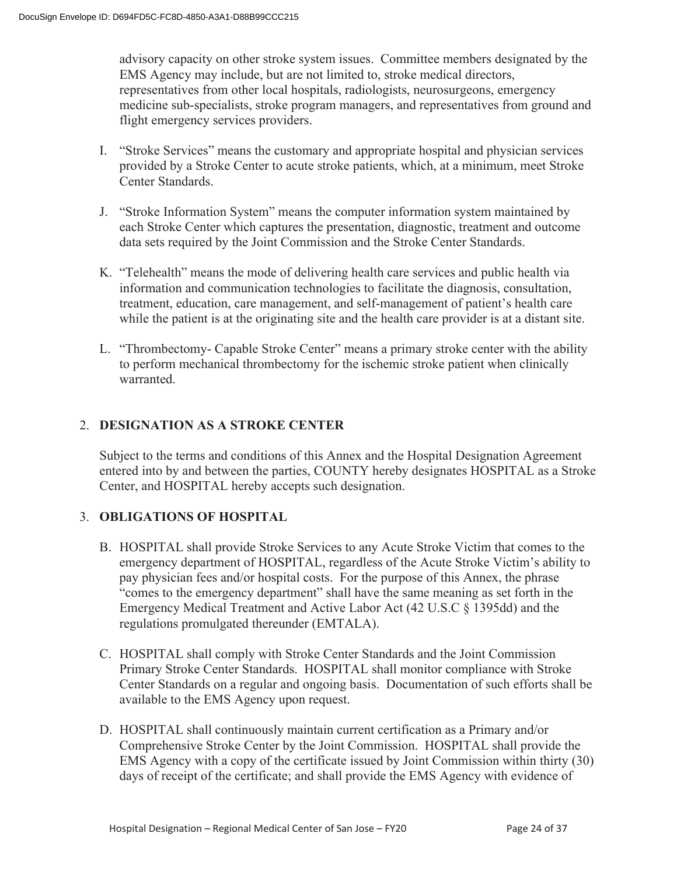advisory capacity on other stroke system issues. Committee members designated by the EMS Agency may include, but are not limited to, stroke medical directors, representatives from other local hospitals, radiologists, neurosurgeons, emergency medicine sub-specialists, stroke program managers, and representatives from ground and flight emergency services providers.

- I. "Stroke Services" means the customary and appropriate hospital and physician services provided by a Stroke Center to acute stroke patients, which, at a minimum, meet Stroke Center Standards.
- J. "Stroke Information System" means the computer information system maintained by each Stroke Center which captures the presentation, diagnostic, treatment and outcome data sets required by the Joint Commission and the Stroke Center Standards.
- K. "Telehealth" means the mode of delivering health care services and public health via information and communication technologies to facilitate the diagnosis, consultation, treatment, education, care management, and self-management of patient's health care while the patient is at the originating site and the health care provider is at a distant site.
- L. "Thrombectomy- Capable Stroke Center" means a primary stroke center with the ability to perform mechanical thrombectomy for the ischemic stroke patient when clinically warranted.

### 2. **DESIGNATION AS A STROKE CENTER**

Subject to the terms and conditions of this Annex and the Hospital Designation Agreement entered into by and between the parties, COUNTY hereby designates HOSPITAL as a Stroke Center, and HOSPITAL hereby accepts such designation.

#### 3. **OBLIGATIONS OF HOSPITAL**

- B. HOSPITAL shall provide Stroke Services to any Acute Stroke Victim that comes to the emergency department of HOSPITAL, regardless of the Acute Stroke Victim's ability to pay physician fees and/or hospital costs. For the purpose of this Annex, the phrase "comes to the emergency department" shall have the same meaning as set forth in the Emergency Medical Treatment and Active Labor Act (42 U.S.C § 1395dd) and the regulations promulgated thereunder (EMTALA).
- C. HOSPITAL shall comply with Stroke Center Standards and the Joint Commission Primary Stroke Center Standards. HOSPITAL shall monitor compliance with Stroke Center Standards on a regular and ongoing basis. Documentation of such efforts shall be available to the EMS Agency upon request.
- D. HOSPITAL shall continuously maintain current certification as a Primary and/or Comprehensive Stroke Center by the Joint Commission. HOSPITAL shall provide the EMS Agency with a copy of the certificate issued by Joint Commission within thirty (30) days of receipt of the certificate; and shall provide the EMS Agency with evidence of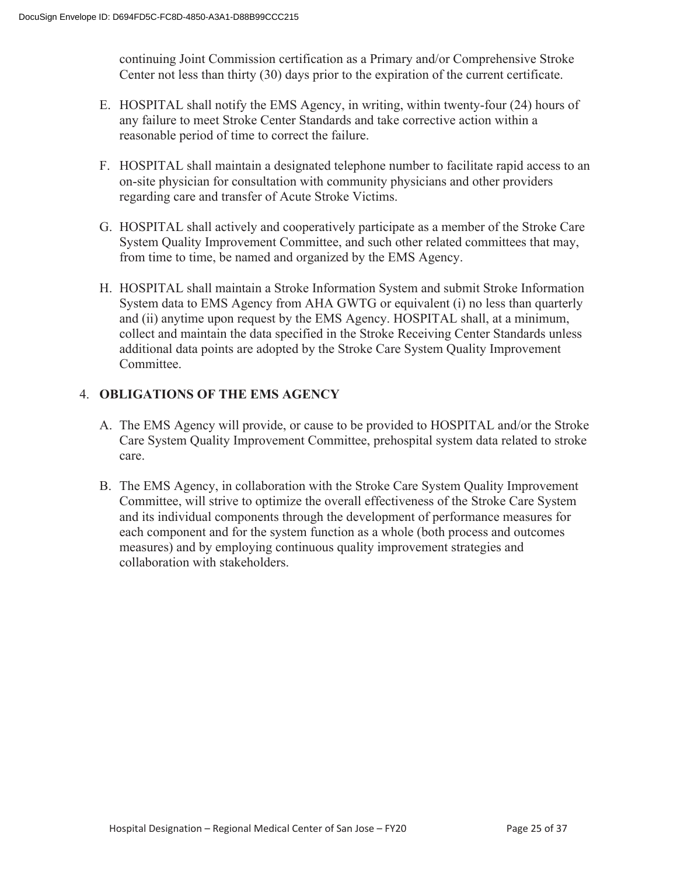continuing Joint Commission certification as a Primary and/or Comprehensive Stroke Center not less than thirty (30) days prior to the expiration of the current certificate.

- E. HOSPITAL shall notify the EMS Agency, in writing, within twenty-four (24) hours of any failure to meet Stroke Center Standards and take corrective action within a reasonable period of time to correct the failure.
- F. HOSPITAL shall maintain a designated telephone number to facilitate rapid access to an on-site physician for consultation with community physicians and other providers regarding care and transfer of Acute Stroke Victims.
- G. HOSPITAL shall actively and cooperatively participate as a member of the Stroke Care System Quality Improvement Committee, and such other related committees that may, from time to time, be named and organized by the EMS Agency.
- H. HOSPITAL shall maintain a Stroke Information System and submit Stroke Information System data to EMS Agency from AHA GWTG or equivalent (i) no less than quarterly and (ii) anytime upon request by the EMS Agency. HOSPITAL shall, at a minimum, collect and maintain the data specified in the Stroke Receiving Center Standards unless additional data points are adopted by the Stroke Care System Quality Improvement Committee.

#### 4. **OBLIGATIONS OF THE EMS AGENCY**

- A. The EMS Agency will provide, or cause to be provided to HOSPITAL and/or the Stroke Care System Quality Improvement Committee, prehospital system data related to stroke care.
- B. The EMS Agency, in collaboration with the Stroke Care System Quality Improvement Committee, will strive to optimize the overall effectiveness of the Stroke Care System and its individual components through the development of performance measures for each component and for the system function as a whole (both process and outcomes measures) and by employing continuous quality improvement strategies and collaboration with stakeholders.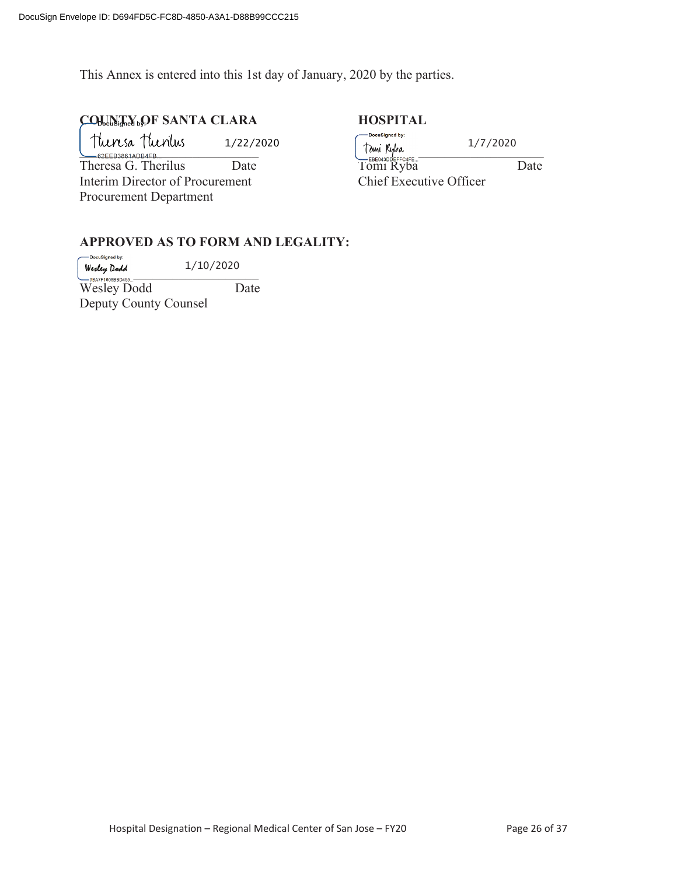This Annex is entered into this 1st day of January, 2020 by the parties.

### COUNTY<sub>19</sub>OF SANTA CLARA **HOSPITAL**

Theresa Theritus 1/22/2020

Theresa G. Therilus Date Interim Director of Procurement Procurement Department

| DocuSigned by:                                    | 1/7/2020 |  |  |
|---------------------------------------------------|----------|--|--|
| Tomi <i>Ryba</i><br>—евееазореггсаге<br>Tomi Ryba | Date     |  |  |
| Chief Executive Officer                           |          |  |  |

#### **APPROVED AS TO FORM AND LEGALITY:**

DocuSigned by: 1/10/2020  $W$ esley Dodd  $L/LU/LU2U$ Wesley Dodd Date Deputy County Counsel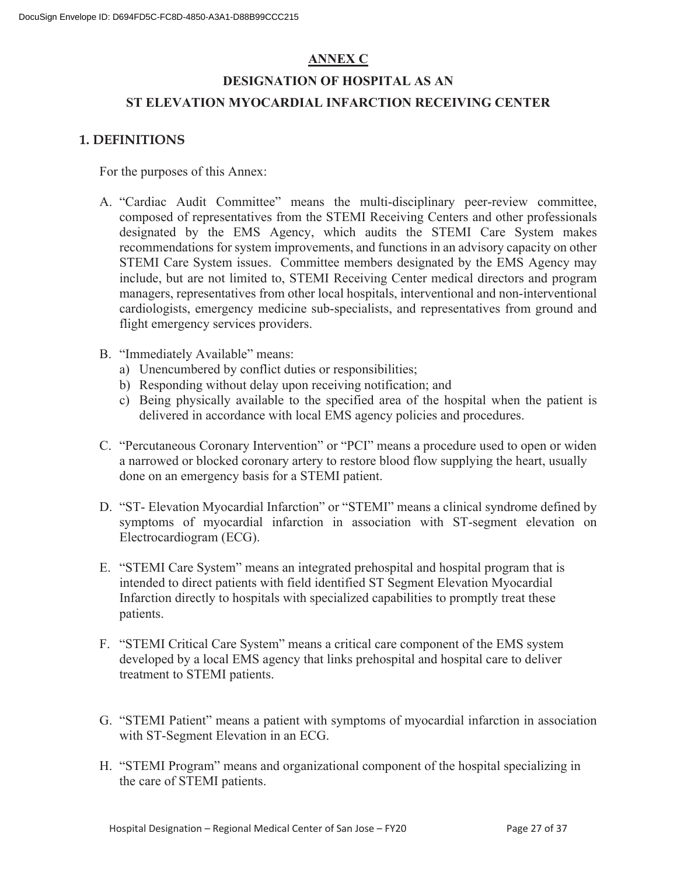#### **ANNEX C**

# **DESIGNATION OF HOSPITAL AS AN ST ELEVATION MYOCARDIAL INFARCTION RECEIVING CENTER**

#### **1. DEFINITIONS**

For the purposes of this Annex:

- A. "Cardiac Audit Committee" means the multi-disciplinary peer-review committee, composed of representatives from the STEMI Receiving Centers and other professionals designated by the EMS Agency, which audits the STEMI Care System makes recommendations for system improvements, and functions in an advisory capacity on other STEMI Care System issues. Committee members designated by the EMS Agency may include, but are not limited to, STEMI Receiving Center medical directors and program managers, representatives from other local hospitals, interventional and non-interventional cardiologists, emergency medicine sub-specialists, and representatives from ground and flight emergency services providers.
- B. "Immediately Available" means:
	- a) Unencumbered by conflict duties or responsibilities;
	- b) Responding without delay upon receiving notification; and
	- c) Being physically available to the specified area of the hospital when the patient is delivered in accordance with local EMS agency policies and procedures.
- C. "Percutaneous Coronary Intervention" or "PCI" means a procedure used to open or widen a narrowed or blocked coronary artery to restore blood flow supplying the heart, usually done on an emergency basis for a STEMI patient.
- D. "ST- Elevation Myocardial Infarction" or "STEMI" means a clinical syndrome defined by symptoms of myocardial infarction in association with ST-segment elevation on Electrocardiogram (ECG).
- E. "STEMI Care System" means an integrated prehospital and hospital program that is intended to direct patients with field identified ST Segment Elevation Myocardial Infarction directly to hospitals with specialized capabilities to promptly treat these patients.
- F. "STEMI Critical Care System" means a critical care component of the EMS system developed by a local EMS agency that links prehospital and hospital care to deliver treatment to STEMI patients.
- G. "STEMI Patient" means a patient with symptoms of myocardial infarction in association with ST-Segment Elevation in an ECG.
- H. "STEMI Program" means and organizational component of the hospital specializing in the care of STEMI patients.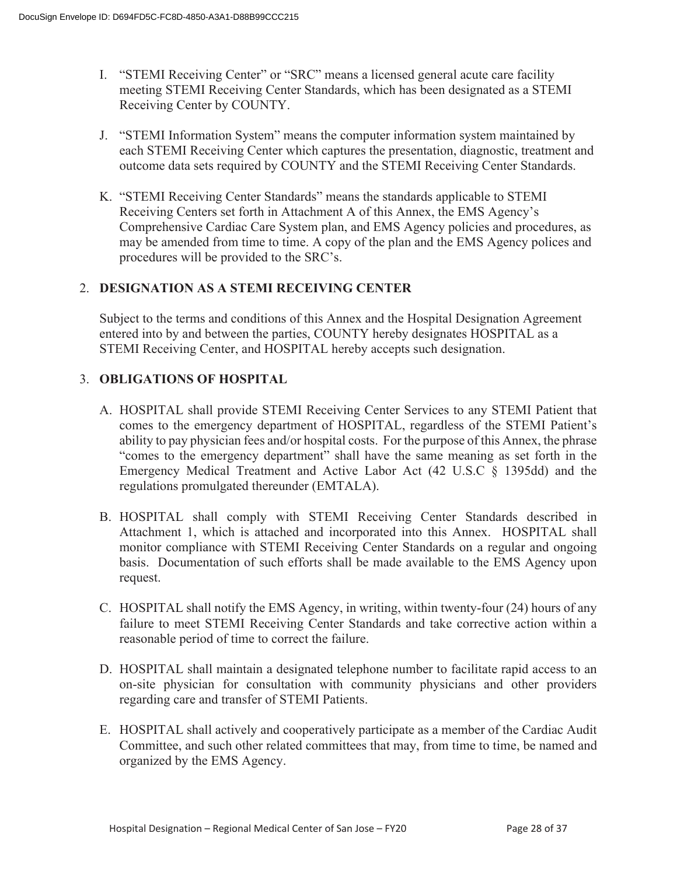- I. "STEMI Receiving Center" or "SRC" means a licensed general acute care facility meeting STEMI Receiving Center Standards, which has been designated as a STEMI Receiving Center by COUNTY.
- J. "STEMI Information System" means the computer information system maintained by each STEMI Receiving Center which captures the presentation, diagnostic, treatment and outcome data sets required by COUNTY and the STEMI Receiving Center Standards.
- K. "STEMI Receiving Center Standards" means the standards applicable to STEMI Receiving Centers set forth in Attachment A of this Annex, the EMS Agency's Comprehensive Cardiac Care System plan, and EMS Agency policies and procedures, as may be amended from time to time. A copy of the plan and the EMS Agency polices and procedures will be provided to the SRC's.

#### 2. **DESIGNATION AS A STEMI RECEIVING CENTER**

Subject to the terms and conditions of this Annex and the Hospital Designation Agreement entered into by and between the parties, COUNTY hereby designates HOSPITAL as a STEMI Receiving Center, and HOSPITAL hereby accepts such designation.

#### 3. **OBLIGATIONS OF HOSPITAL**

- A. HOSPITAL shall provide STEMI Receiving Center Services to any STEMI Patient that comes to the emergency department of HOSPITAL, regardless of the STEMI Patient's ability to pay physician fees and/or hospital costs. For the purpose of this Annex, the phrase "comes to the emergency department" shall have the same meaning as set forth in the Emergency Medical Treatment and Active Labor Act (42 U.S.C § 1395dd) and the regulations promulgated thereunder (EMTALA).
- B. HOSPITAL shall comply with STEMI Receiving Center Standards described in Attachment 1, which is attached and incorporated into this Annex. HOSPITAL shall monitor compliance with STEMI Receiving Center Standards on a regular and ongoing basis. Documentation of such efforts shall be made available to the EMS Agency upon request.
- C. HOSPITAL shall notify the EMS Agency, in writing, within twenty-four (24) hours of any failure to meet STEMI Receiving Center Standards and take corrective action within a reasonable period of time to correct the failure.
- D. HOSPITAL shall maintain a designated telephone number to facilitate rapid access to an on-site physician for consultation with community physicians and other providers regarding care and transfer of STEMI Patients.
- E. HOSPITAL shall actively and cooperatively participate as a member of the Cardiac Audit Committee, and such other related committees that may, from time to time, be named and organized by the EMS Agency.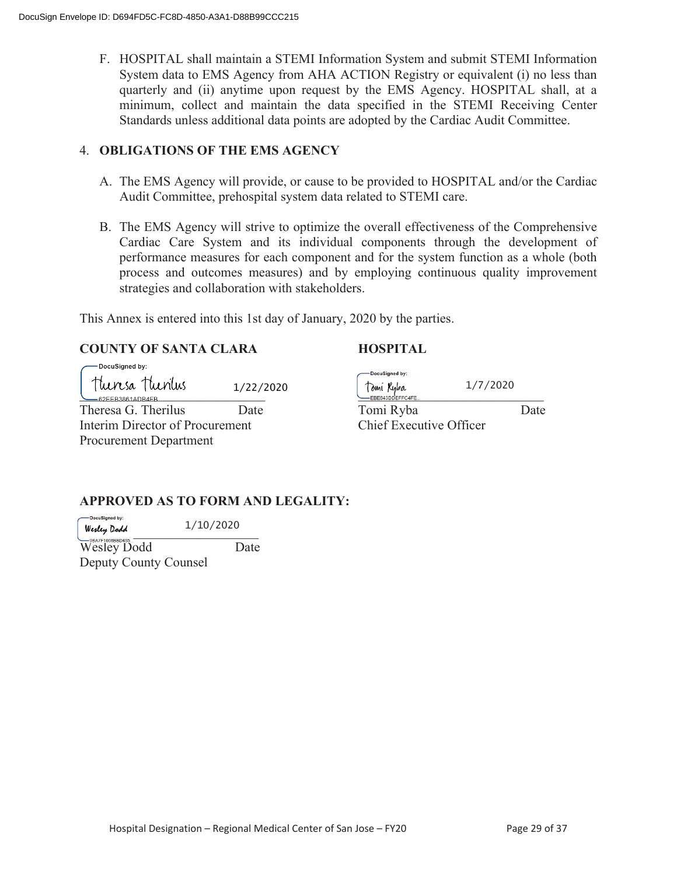F. HOSPITAL shall maintain a STEMI Information System and submit STEMI Information System data to EMS Agency from AHA ACTION Registry or equivalent (i) no less than quarterly and (ii) anytime upon request by the EMS Agency. HOSPITAL shall, at a minimum, collect and maintain the data specified in the STEMI Receiving Center Standards unless additional data points are adopted by the Cardiac Audit Committee.

#### 4. **OBLIGATIONS OF THE EMS AGENCY**

- A. The EMS Agency will provide, or cause to be provided to HOSPITAL and/or the Cardiac Audit Committee, prehospital system data related to STEMI care.
- B. The EMS Agency will strive to optimize the overall effectiveness of the Comprehensive Cardiac Care System and its individual components through the development of performance measures for each component and for the system function as a whole (both process and outcomes measures) and by employing continuous quality improvement strategies and collaboration with stakeholders.

This Annex is entered into this 1st day of January, 2020 by the parties.

#### **COUNTY OF SANTA CLARA HOSPITAL**

| DocuSigned by:                  |           | DocuSigned by:          |          |      |
|---------------------------------|-----------|-------------------------|----------|------|
| Theresa Theorius                | 1/22/2020 | Tomi Ryba               | 1/7/2020 |      |
| -62EEB3861ADB4FB                |           | -EBE643DDEFFC4FE        |          |      |
| Theresa G. Therilus             | Date      | Tomi Ryba               |          | Date |
| Interim Director of Procurement |           | Chief Executive Officer |          |      |
| <b>Procurement Department</b>   |           |                         |          |      |

### **APPROVED AS TO FORM AND LEGALITY:**

-DocuSianed by: 1/10/2020  $W$ esley Dodd 1/10/2020

Wesley Dodd Date Deputy County Counsel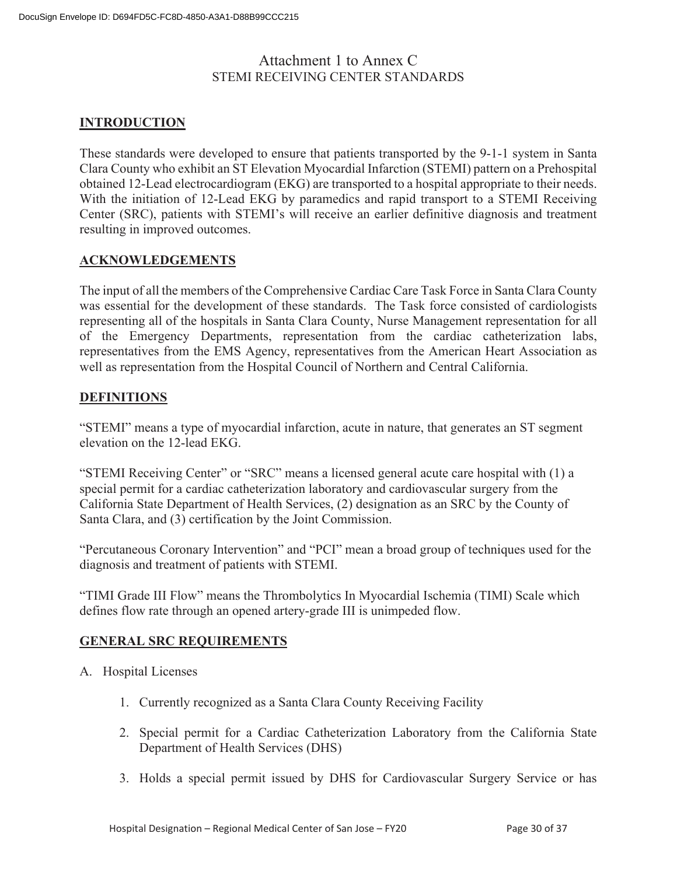### Attachment 1 to Annex C STEMI RECEIVING CENTER STANDARDS

#### **INTRODUCTION**

These standards were developed to ensure that patients transported by the 9-1-1 system in Santa Clara County who exhibit an ST Elevation Myocardial Infarction (STEMI) pattern on a Prehospital obtained 12-Lead electrocardiogram (EKG) are transported to a hospital appropriate to their needs. With the initiation of 12-Lead EKG by paramedics and rapid transport to a STEMI Receiving Center (SRC), patients with STEMI's will receive an earlier definitive diagnosis and treatment resulting in improved outcomes.

#### **ACKNOWLEDGEMENTS**

The input of all the members of the Comprehensive Cardiac Care Task Force in Santa Clara County was essential for the development of these standards. The Task force consisted of cardiologists representing all of the hospitals in Santa Clara County, Nurse Management representation for all of the Emergency Departments, representation from the cardiac catheterization labs, representatives from the EMS Agency, representatives from the American Heart Association as well as representation from the Hospital Council of Northern and Central California.

#### **DEFINITIONS**

"STEMI" means a type of myocardial infarction, acute in nature, that generates an ST segment elevation on the 12-lead EKG.

"STEMI Receiving Center" or "SRC" means a licensed general acute care hospital with (1) a special permit for a cardiac catheterization laboratory and cardiovascular surgery from the California State Department of Health Services, (2) designation as an SRC by the County of Santa Clara, and (3) certification by the Joint Commission.

"Percutaneous Coronary Intervention" and "PCI" mean a broad group of techniques used for the diagnosis and treatment of patients with STEMI.

"TIMI Grade III Flow" means the Thrombolytics In Myocardial Ischemia (TIMI) Scale which defines flow rate through an opened artery-grade III is unimpeded flow.

#### **GENERAL SRC REQUIREMENTS**

- A. Hospital Licenses
	- 1. Currently recognized as a Santa Clara County Receiving Facility
	- 2. Special permit for a Cardiac Catheterization Laboratory from the California State Department of Health Services (DHS)
	- 3. Holds a special permit issued by DHS for Cardiovascular Surgery Service or has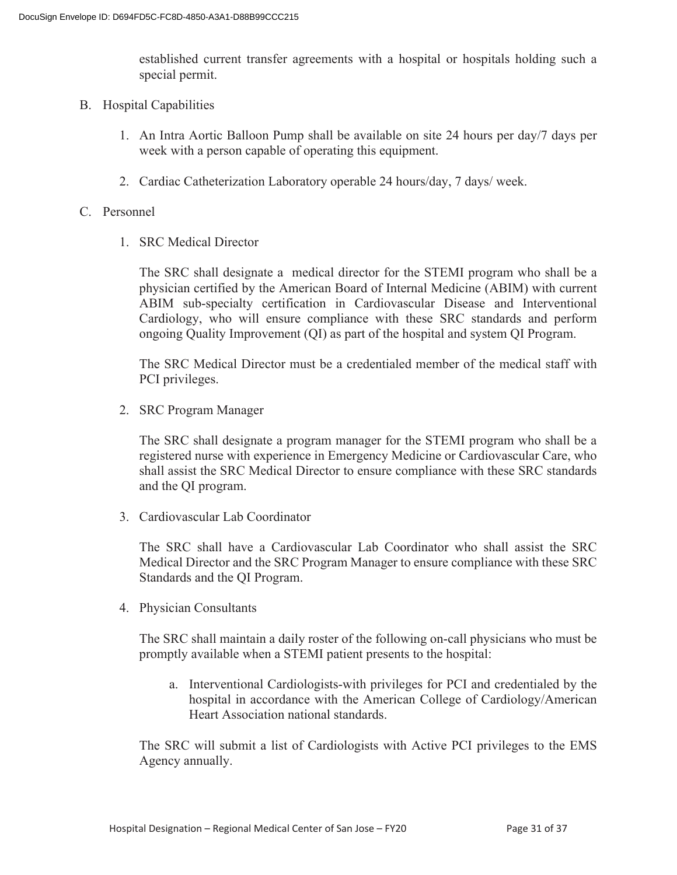established current transfer agreements with a hospital or hospitals holding such a special permit.

- B. Hospital Capabilities
	- 1. An Intra Aortic Balloon Pump shall be available on site 24 hours per day/7 days per week with a person capable of operating this equipment.
	- 2. Cardiac Catheterization Laboratory operable 24 hours/day, 7 days/ week.

#### C. Personnel

1. SRC Medical Director

The SRC shall designate a medical director for the STEMI program who shall be a physician certified by the American Board of Internal Medicine (ABIM) with current ABIM sub-specialty certification in Cardiovascular Disease and Interventional Cardiology, who will ensure compliance with these SRC standards and perform ongoing Quality Improvement (QI) as part of the hospital and system QI Program.

The SRC Medical Director must be a credentialed member of the medical staff with PCI privileges.

2. SRC Program Manager

The SRC shall designate a program manager for the STEMI program who shall be a registered nurse with experience in Emergency Medicine or Cardiovascular Care, who shall assist the SRC Medical Director to ensure compliance with these SRC standards and the QI program.

3. Cardiovascular Lab Coordinator

The SRC shall have a Cardiovascular Lab Coordinator who shall assist the SRC Medical Director and the SRC Program Manager to ensure compliance with these SRC Standards and the QI Program.

4. Physician Consultants

The SRC shall maintain a daily roster of the following on-call physicians who must be promptly available when a STEMI patient presents to the hospital:

a. Interventional Cardiologists-with privileges for PCI and credentialed by the hospital in accordance with the American College of Cardiology/American Heart Association national standards.

The SRC will submit a list of Cardiologists with Active PCI privileges to the EMS Agency annually.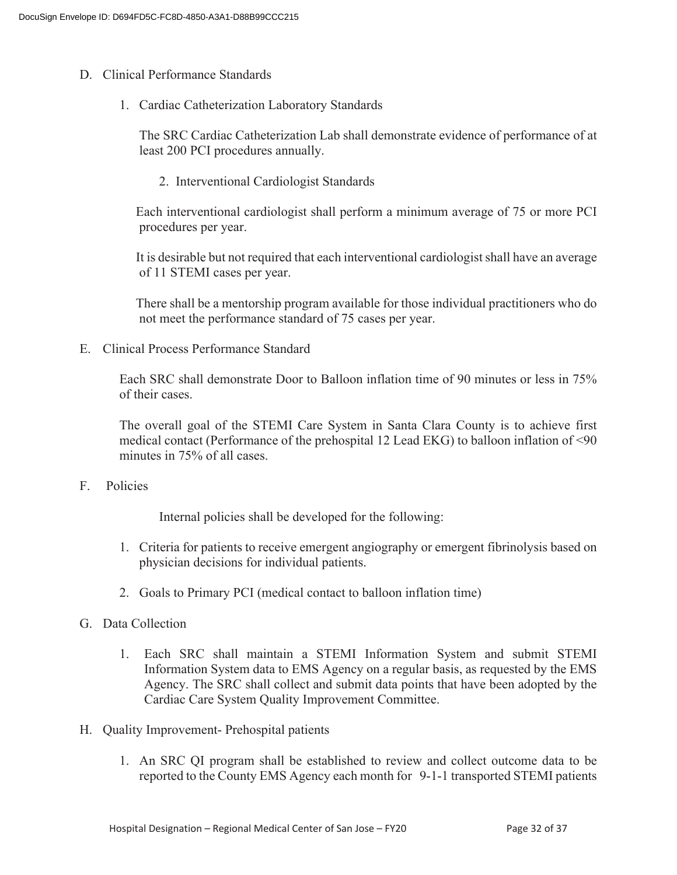- D. Clinical Performance Standards
	- 1. Cardiac Catheterization Laboratory Standards

The SRC Cardiac Catheterization Lab shall demonstrate evidence of performance of at least 200 PCI procedures annually.

2. Interventional Cardiologist Standards

 Each interventional cardiologist shall perform a minimum average of 75 or more PCI procedures per year.

 It is desirable but not required that each interventional cardiologist shall have an average of 11 STEMI cases per year.

 There shall be a mentorship program available for those individual practitioners who do not meet the performance standard of 75 cases per year.

E. Clinical Process Performance Standard

Each SRC shall demonstrate Door to Balloon inflation time of 90 minutes or less in 75% of their cases.

The overall goal of the STEMI Care System in Santa Clara County is to achieve first medical contact (Performance of the prehospital 12 Lead EKG) to balloon inflation of <90 minutes in 75% of all cases.

F. Policies

Internal policies shall be developed for the following:

- 1. Criteria for patients to receive emergent angiography or emergent fibrinolysis based on physician decisions for individual patients.
- 2. Goals to Primary PCI (medical contact to balloon inflation time)
- G. Data Collection
	- 1. Each SRC shall maintain a STEMI Information System and submit STEMI Information System data to EMS Agency on a regular basis, as requested by the EMS Agency. The SRC shall collect and submit data points that have been adopted by the Cardiac Care System Quality Improvement Committee.
- H. Quality Improvement- Prehospital patients
	- 1. An SRC QI program shall be established to review and collect outcome data to be reported to the County EMS Agency each month for 9-1-1 transported STEMI patients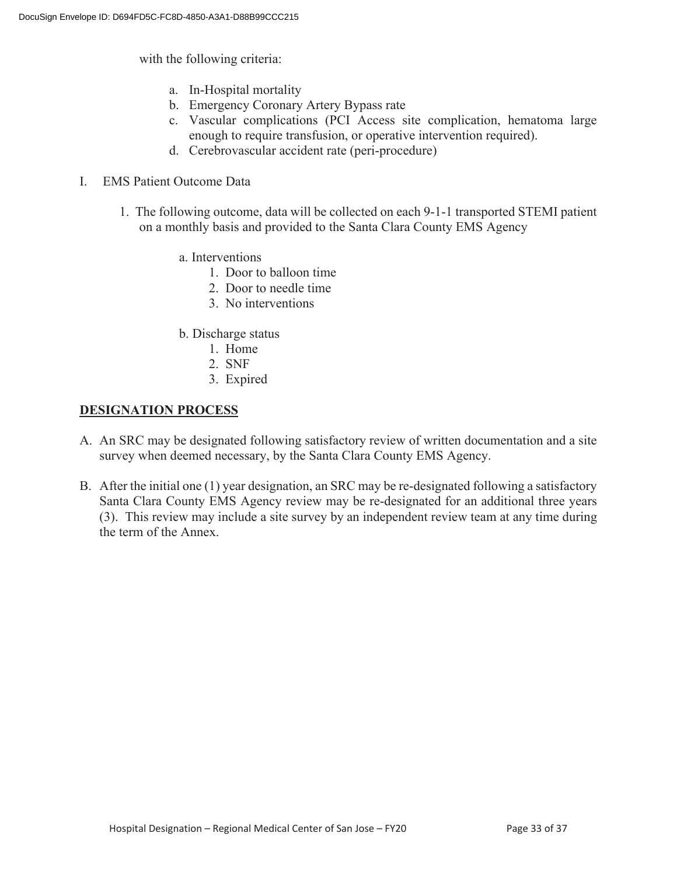with the following criteria:

- a. In-Hospital mortality
- b. Emergency Coronary Artery Bypass rate
- c. Vascular complications (PCI Access site complication, hematoma large enough to require transfusion, or operative intervention required).
- d. Cerebrovascular accident rate (peri-procedure)
- I. EMS Patient Outcome Data
	- 1. The following outcome, data will be collected on each 9-1-1 transported STEMI patient on a monthly basis and provided to the Santa Clara County EMS Agency
		- a. Interventions
			- 1. Door to balloon time
			- 2. Door to needle time
			- 3. No interventions
		- b. Discharge status
			- 1. Home
			- 2. SNF
			- 3. Expired

#### **DESIGNATION PROCESS**

- A. An SRC may be designated following satisfactory review of written documentation and a site survey when deemed necessary, by the Santa Clara County EMS Agency.
- B. After the initial one (1) year designation, an SRC may be re-designated following a satisfactory Santa Clara County EMS Agency review may be re-designated for an additional three years (3). This review may include a site survey by an independent review team at any time during the term of the Annex.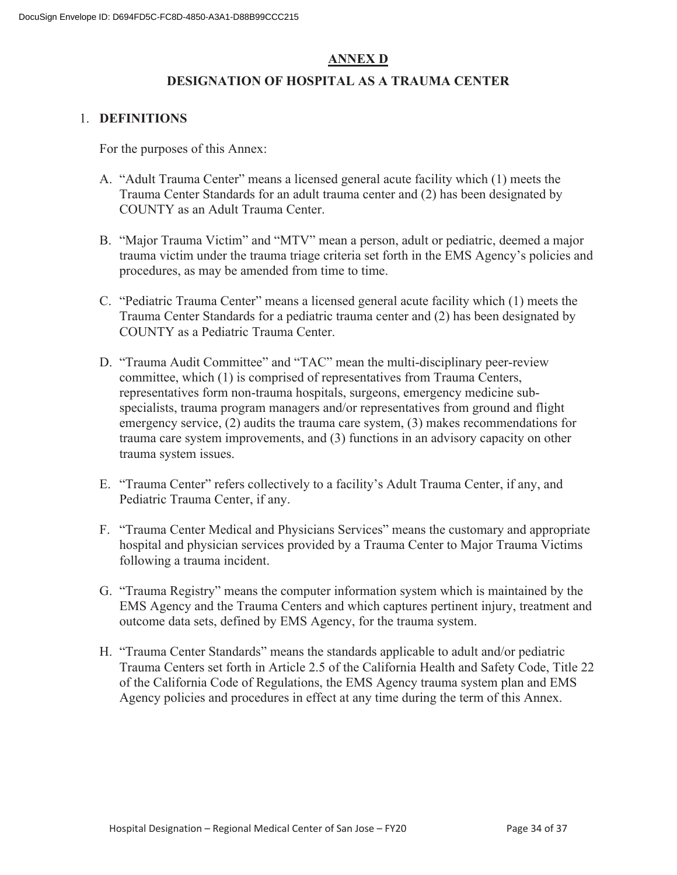### **ANNEX D**

#### **DESIGNATION OF HOSPITAL AS A TRAUMA CENTER**

#### 1. **DEFINITIONS**

For the purposes of this Annex:

- A. "Adult Trauma Center" means a licensed general acute facility which (1) meets the Trauma Center Standards for an adult trauma center and (2) has been designated by COUNTY as an Adult Trauma Center.
- B. "Major Trauma Victim" and "MTV" mean a person, adult or pediatric, deemed a major trauma victim under the trauma triage criteria set forth in the EMS Agency's policies and procedures, as may be amended from time to time.
- C. "Pediatric Trauma Center" means a licensed general acute facility which (1) meets the Trauma Center Standards for a pediatric trauma center and (2) has been designated by COUNTY as a Pediatric Trauma Center.
- D. "Trauma Audit Committee" and "TAC" mean the multi-disciplinary peer-review committee, which (1) is comprised of representatives from Trauma Centers, representatives form non-trauma hospitals, surgeons, emergency medicine subspecialists, trauma program managers and/or representatives from ground and flight emergency service, (2) audits the trauma care system, (3) makes recommendations for trauma care system improvements, and (3) functions in an advisory capacity on other trauma system issues.
- E. "Trauma Center" refers collectively to a facility's Adult Trauma Center, if any, and Pediatric Trauma Center, if any.
- F. "Trauma Center Medical and Physicians Services" means the customary and appropriate hospital and physician services provided by a Trauma Center to Major Trauma Victims following a trauma incident.
- G. "Trauma Registry" means the computer information system which is maintained by the EMS Agency and the Trauma Centers and which captures pertinent injury, treatment and outcome data sets, defined by EMS Agency, for the trauma system.
- H. "Trauma Center Standards" means the standards applicable to adult and/or pediatric Trauma Centers set forth in Article 2.5 of the California Health and Safety Code, Title 22 of the California Code of Regulations, the EMS Agency trauma system plan and EMS Agency policies and procedures in effect at any time during the term of this Annex.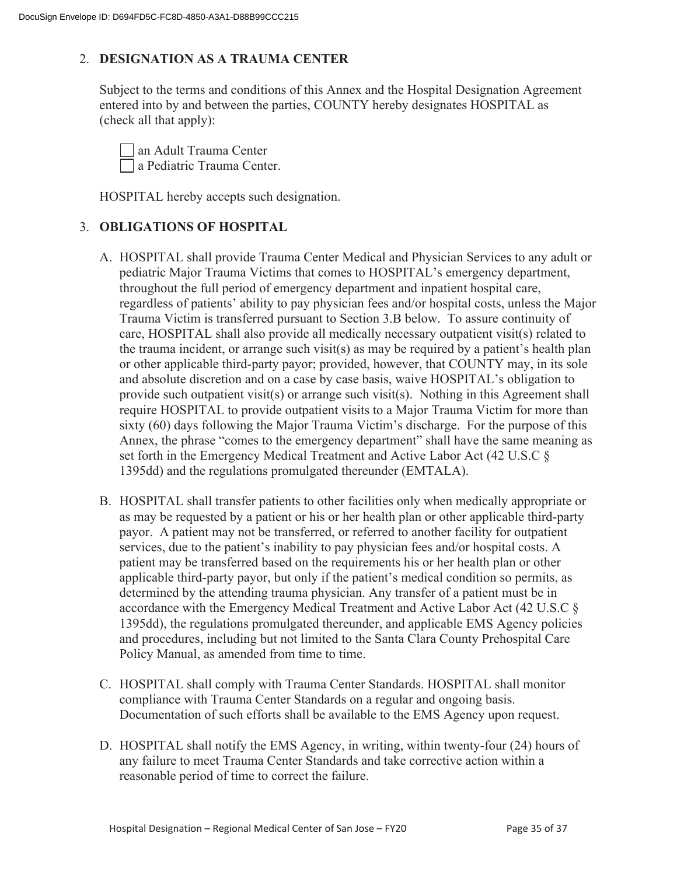#### 2. **DESIGNATION AS A TRAUMA CENTER**

Subject to the terms and conditions of this Annex and the Hospital Designation Agreement entered into by and between the parties, COUNTY hereby designates HOSPITAL as (check all that apply):

 an Adult Trauma Center a Pediatric Trauma Center.

HOSPITAL hereby accepts such designation.

#### 3. **OBLIGATIONS OF HOSPITAL**

- A. HOSPITAL shall provide Trauma Center Medical and Physician Services to any adult or pediatric Major Trauma Victims that comes to HOSPITAL's emergency department, throughout the full period of emergency department and inpatient hospital care, regardless of patients' ability to pay physician fees and/or hospital costs, unless the Major Trauma Victim is transferred pursuant to Section 3.B below. To assure continuity of care, HOSPITAL shall also provide all medically necessary outpatient visit(s) related to the trauma incident, or arrange such visit(s) as may be required by a patient's health plan or other applicable third-party payor; provided, however, that COUNTY may, in its sole and absolute discretion and on a case by case basis, waive HOSPITAL's obligation to provide such outpatient visit(s) or arrange such visit(s). Nothing in this Agreement shall require HOSPITAL to provide outpatient visits to a Major Trauma Victim for more than sixty (60) days following the Major Trauma Victim's discharge. For the purpose of this Annex, the phrase "comes to the emergency department" shall have the same meaning as set forth in the Emergency Medical Treatment and Active Labor Act (42 U.S.C § 1395dd) and the regulations promulgated thereunder (EMTALA).
- B. HOSPITAL shall transfer patients to other facilities only when medically appropriate or as may be requested by a patient or his or her health plan or other applicable third-party payor. A patient may not be transferred, or referred to another facility for outpatient services, due to the patient's inability to pay physician fees and/or hospital costs. A patient may be transferred based on the requirements his or her health plan or other applicable third-party payor, but only if the patient's medical condition so permits, as determined by the attending trauma physician. Any transfer of a patient must be in accordance with the Emergency Medical Treatment and Active Labor Act (42 U.S.C § 1395dd), the regulations promulgated thereunder, and applicable EMS Agency policies and procedures, including but not limited to the Santa Clara County Prehospital Care Policy Manual, as amended from time to time.
- C. HOSPITAL shall comply with Trauma Center Standards. HOSPITAL shall monitor compliance with Trauma Center Standards on a regular and ongoing basis. Documentation of such efforts shall be available to the EMS Agency upon request.
- D. HOSPITAL shall notify the EMS Agency, in writing, within twenty-four (24) hours of any failure to meet Trauma Center Standards and take corrective action within a reasonable period of time to correct the failure.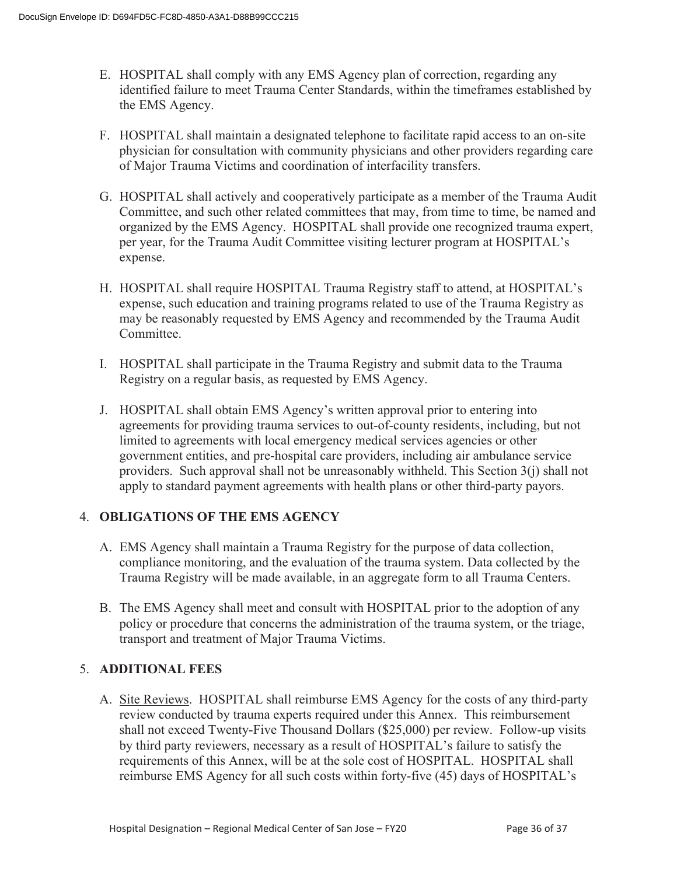- E. HOSPITAL shall comply with any EMS Agency plan of correction, regarding any identified failure to meet Trauma Center Standards, within the timeframes established by the EMS Agency.
- F. HOSPITAL shall maintain a designated telephone to facilitate rapid access to an on-site physician for consultation with community physicians and other providers regarding care of Major Trauma Victims and coordination of interfacility transfers.
- G. HOSPITAL shall actively and cooperatively participate as a member of the Trauma Audit Committee, and such other related committees that may, from time to time, be named and organized by the EMS Agency. HOSPITAL shall provide one recognized trauma expert, per year, for the Trauma Audit Committee visiting lecturer program at HOSPITAL's expense.
- H. HOSPITAL shall require HOSPITAL Trauma Registry staff to attend, at HOSPITAL's expense, such education and training programs related to use of the Trauma Registry as may be reasonably requested by EMS Agency and recommended by the Trauma Audit Committee.
- I. HOSPITAL shall participate in the Trauma Registry and submit data to the Trauma Registry on a regular basis, as requested by EMS Agency.
- J. HOSPITAL shall obtain EMS Agency's written approval prior to entering into agreements for providing trauma services to out-of-county residents, including, but not limited to agreements with local emergency medical services agencies or other government entities, and pre-hospital care providers, including air ambulance service providers. Such approval shall not be unreasonably withheld. This Section  $3(i)$  shall not apply to standard payment agreements with health plans or other third-party payors.

#### 4. **OBLIGATIONS OF THE EMS AGENCY**

- A. EMS Agency shall maintain a Trauma Registry for the purpose of data collection, compliance monitoring, and the evaluation of the trauma system. Data collected by the Trauma Registry will be made available, in an aggregate form to all Trauma Centers.
- B. The EMS Agency shall meet and consult with HOSPITAL prior to the adoption of any policy or procedure that concerns the administration of the trauma system, or the triage, transport and treatment of Major Trauma Victims.

#### 5. **ADDITIONAL FEES**

A. Site Reviews. HOSPITAL shall reimburse EMS Agency for the costs of any third-party review conducted by trauma experts required under this Annex. This reimbursement shall not exceed Twenty-Five Thousand Dollars (\$25,000) per review. Follow-up visits by third party reviewers, necessary as a result of HOSPITAL's failure to satisfy the requirements of this Annex, will be at the sole cost of HOSPITAL. HOSPITAL shall reimburse EMS Agency for all such costs within forty-five (45) days of HOSPITAL's